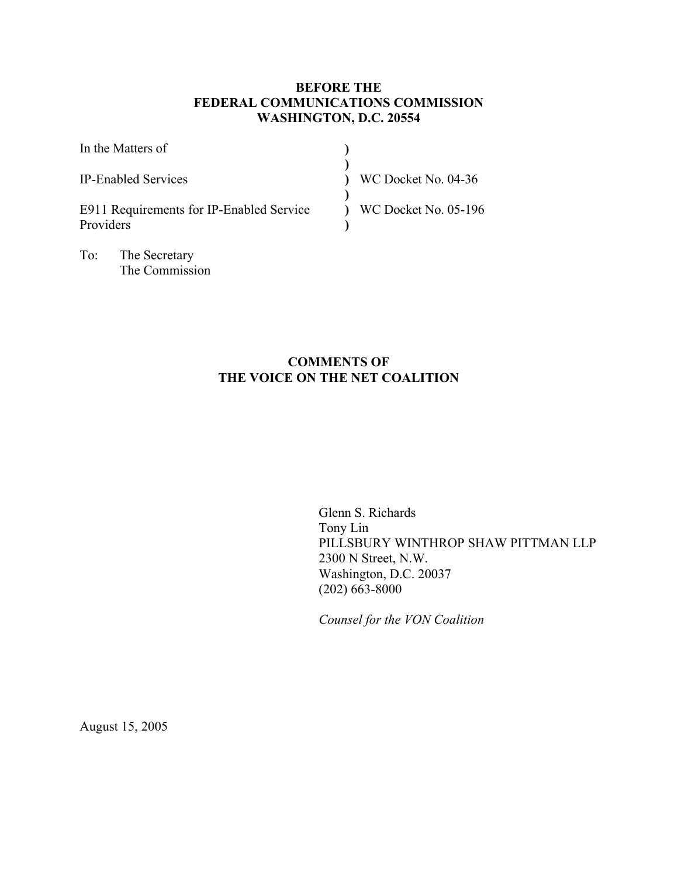# **BEFORE THE FEDERAL COMMUNICATIONS COMMISSION WASHINGTON, D.C. 20554**

| In the Matters of                                     |                             |
|-------------------------------------------------------|-----------------------------|
| <b>IP-Enabled Services</b>                            | WC Docket No. 04-36         |
| E911 Requirements for IP-Enabled Service<br>Providers | <b>WC Docket No. 05-196</b> |

**COMMENTS OF THE VOICE ON THE NET COALITION** 

> Glenn S. Richards Tony Lin PILLSBURY WINTHROP SHAW PITTMAN LLP 2300 N Street, N.W. Washington, D.C. 20037 (202) 663-8000

*Counsel for the VON Coalition* 

August 15, 2005

To: The Secretary

The Commission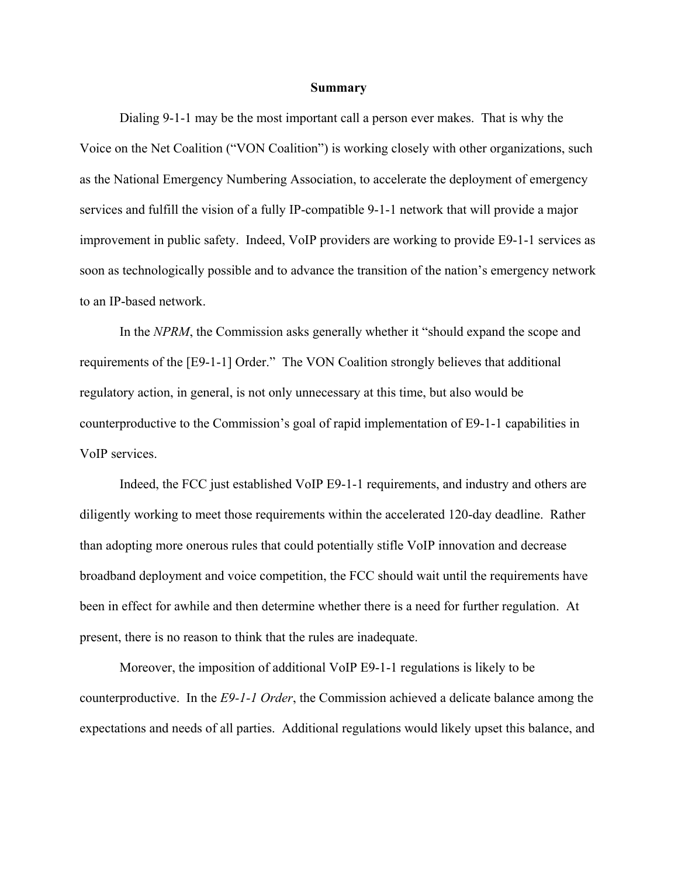#### **Summary**

Dialing 9-1-1 may be the most important call a person ever makes. That is why the Voice on the Net Coalition ("VON Coalition") is working closely with other organizations, such as the National Emergency Numbering Association, to accelerate the deployment of emergency services and fulfill the vision of a fully IP-compatible 9-1-1 network that will provide a major improvement in public safety. Indeed, VoIP providers are working to provide E9-1-1 services as soon as technologically possible and to advance the transition of the nation's emergency network to an IP-based network.

In the *NPRM*, the Commission asks generally whether it "should expand the scope and requirements of the [E9-1-1] Order." The VON Coalition strongly believes that additional regulatory action, in general, is not only unnecessary at this time, but also would be counterproductive to the Commission's goal of rapid implementation of E9-1-1 capabilities in VoIP services.

Indeed, the FCC just established VoIP E9-1-1 requirements, and industry and others are diligently working to meet those requirements within the accelerated 120-day deadline. Rather than adopting more onerous rules that could potentially stifle VoIP innovation and decrease broadband deployment and voice competition, the FCC should wait until the requirements have been in effect for awhile and then determine whether there is a need for further regulation. At present, there is no reason to think that the rules are inadequate.

Moreover, the imposition of additional VoIP E9-1-1 regulations is likely to be counterproductive. In the *E9-1-1 Order*, the Commission achieved a delicate balance among the expectations and needs of all parties. Additional regulations would likely upset this balance, and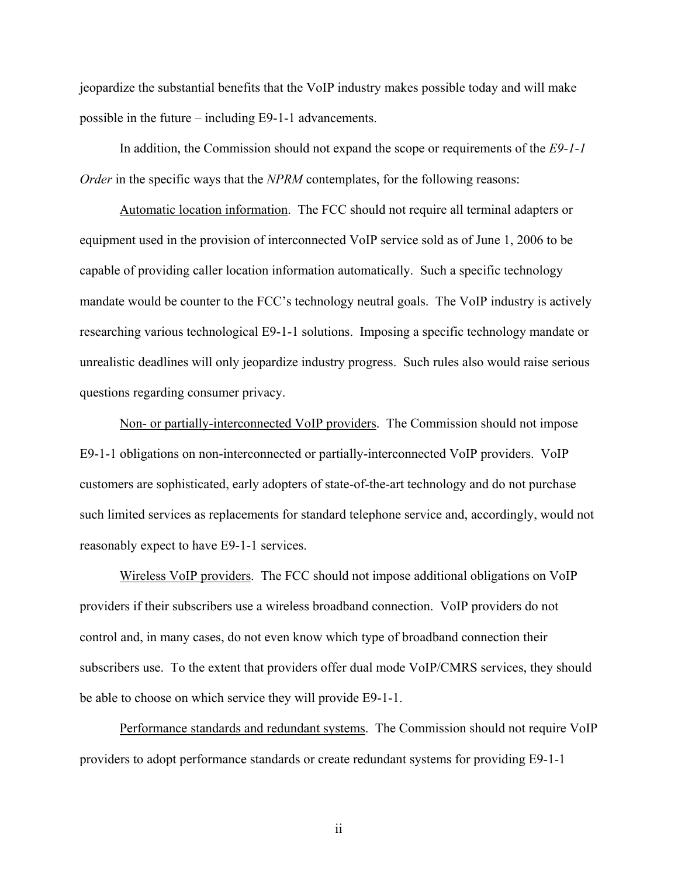jeopardize the substantial benefits that the VoIP industry makes possible today and will make possible in the future – including E9-1-1 advancements.

In addition, the Commission should not expand the scope or requirements of the *E9-1-1 Order* in the specific ways that the *NPRM* contemplates, for the following reasons:

Automatic location information. The FCC should not require all terminal adapters or equipment used in the provision of interconnected VoIP service sold as of June 1, 2006 to be capable of providing caller location information automatically. Such a specific technology mandate would be counter to the FCC's technology neutral goals. The VoIP industry is actively researching various technological E9-1-1 solutions. Imposing a specific technology mandate or unrealistic deadlines will only jeopardize industry progress. Such rules also would raise serious questions regarding consumer privacy.

Non- or partially-interconnected VoIP providers. The Commission should not impose E9-1-1 obligations on non-interconnected or partially-interconnected VoIP providers. VoIP customers are sophisticated, early adopters of state-of-the-art technology and do not purchase such limited services as replacements for standard telephone service and, accordingly, would not reasonably expect to have E9-1-1 services.

Wireless VoIP providers. The FCC should not impose additional obligations on VoIP providers if their subscribers use a wireless broadband connection. VoIP providers do not control and, in many cases, do not even know which type of broadband connection their subscribers use. To the extent that providers offer dual mode VoIP/CMRS services, they should be able to choose on which service they will provide E9-1-1.

Performance standards and redundant systems. The Commission should not require VoIP providers to adopt performance standards or create redundant systems for providing E9-1-1

ii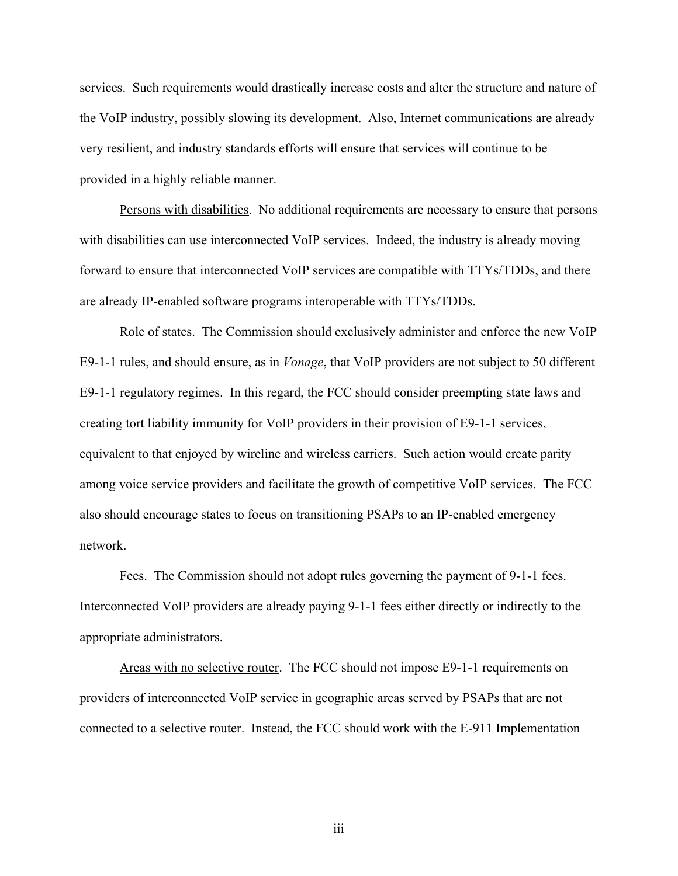services. Such requirements would drastically increase costs and alter the structure and nature of the VoIP industry, possibly slowing its development. Also, Internet communications are already very resilient, and industry standards efforts will ensure that services will continue to be provided in a highly reliable manner.

Persons with disabilities. No additional requirements are necessary to ensure that persons with disabilities can use interconnected VoIP services. Indeed, the industry is already moving forward to ensure that interconnected VoIP services are compatible with TTYs/TDDs, and there are already IP-enabled software programs interoperable with TTYs/TDDs.

Role of states. The Commission should exclusively administer and enforce the new VoIP E9-1-1 rules, and should ensure, as in *Vonage*, that VoIP providers are not subject to 50 different E9-1-1 regulatory regimes. In this regard, the FCC should consider preempting state laws and creating tort liability immunity for VoIP providers in their provision of E9-1-1 services, equivalent to that enjoyed by wireline and wireless carriers. Such action would create parity among voice service providers and facilitate the growth of competitive VoIP services. The FCC also should encourage states to focus on transitioning PSAPs to an IP-enabled emergency network.

Fees. The Commission should not adopt rules governing the payment of 9-1-1 fees. Interconnected VoIP providers are already paying 9-1-1 fees either directly or indirectly to the appropriate administrators.

Areas with no selective router. The FCC should not impose E9-1-1 requirements on providers of interconnected VoIP service in geographic areas served by PSAPs that are not connected to a selective router. Instead, the FCC should work with the E-911 Implementation

iii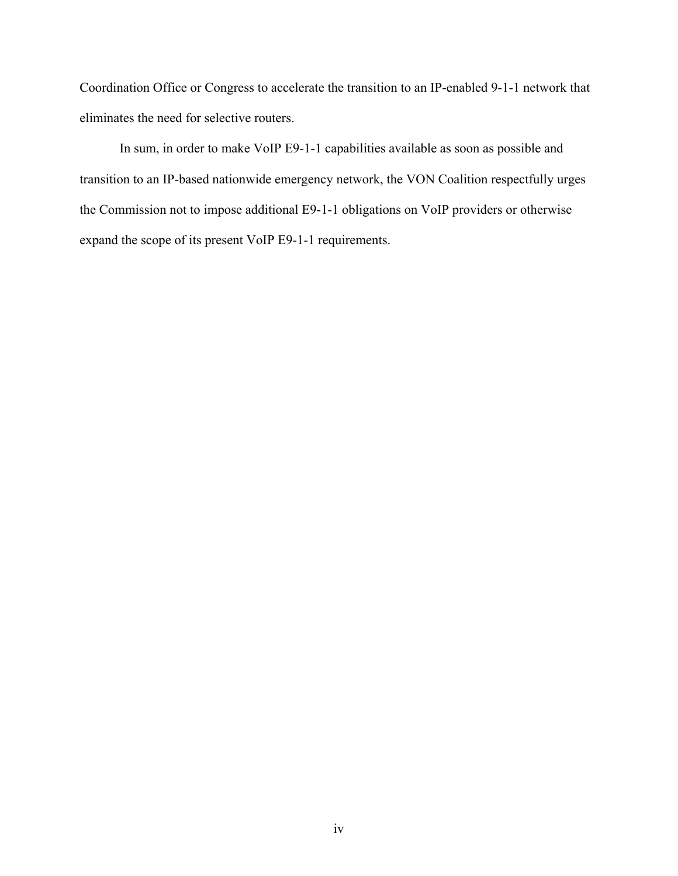Coordination Office or Congress to accelerate the transition to an IP-enabled 9-1-1 network that eliminates the need for selective routers.

In sum, in order to make VoIP E9-1-1 capabilities available as soon as possible and transition to an IP-based nationwide emergency network, the VON Coalition respectfully urges the Commission not to impose additional E9-1-1 obligations on VoIP providers or otherwise expand the scope of its present VoIP E9-1-1 requirements.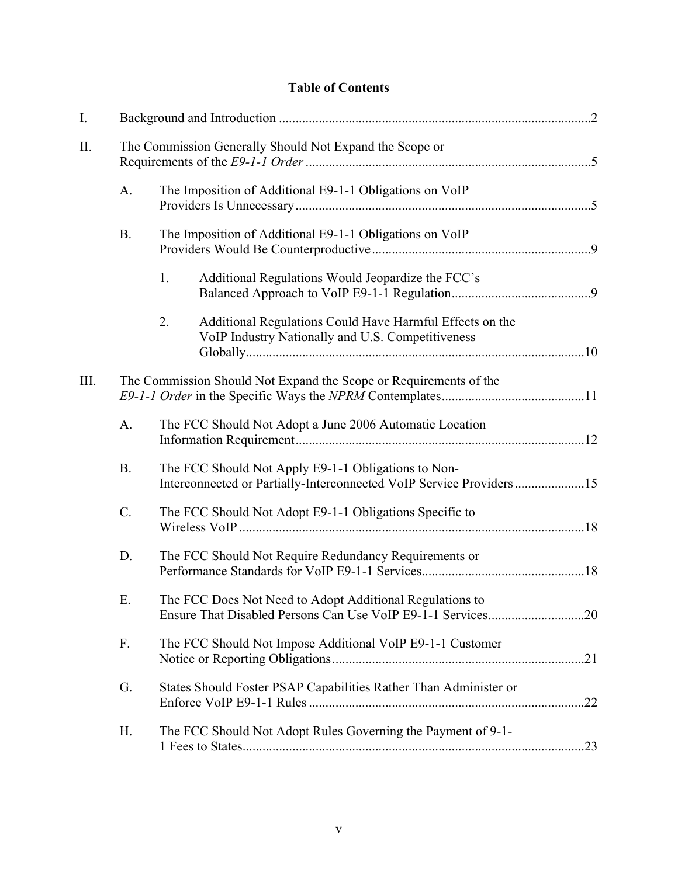# **Table of Contents**

| $I_{\cdot}$ |           |                                                                                                                            |     |
|-------------|-----------|----------------------------------------------------------------------------------------------------------------------------|-----|
| $\prod$ .   |           | The Commission Generally Should Not Expand the Scope or                                                                    |     |
|             | A.        | The Imposition of Additional E9-1-1 Obligations on VoIP                                                                    |     |
|             | <b>B.</b> | The Imposition of Additional E9-1-1 Obligations on VoIP                                                                    |     |
|             |           | Additional Regulations Would Jeopardize the FCC's<br>1.                                                                    |     |
|             |           | Additional Regulations Could Have Harmful Effects on the<br>2.<br>VoIP Industry Nationally and U.S. Competitiveness        |     |
| III.        |           | The Commission Should Not Expand the Scope or Requirements of the                                                          |     |
|             | A.        | The FCC Should Not Adopt a June 2006 Automatic Location                                                                    |     |
|             | <b>B.</b> | The FCC Should Not Apply E9-1-1 Obligations to Non-<br>Interconnected or Partially-Interconnected VoIP Service Providers15 |     |
|             | $C$ .     | The FCC Should Not Adopt E9-1-1 Obligations Specific to                                                                    |     |
|             | D.        | The FCC Should Not Require Redundancy Requirements or                                                                      |     |
|             | Ε.        | The FCC Does Not Need to Adopt Additional Regulations to                                                                   |     |
|             | F.        | The FCC Should Not Impose Additional VoIP E9-1-1 Customer                                                                  |     |
|             | G.        | States Should Foster PSAP Capabilities Rather Than Administer or                                                           |     |
|             | Η.        | The FCC Should Not Adopt Rules Governing the Payment of 9-1-                                                               | .23 |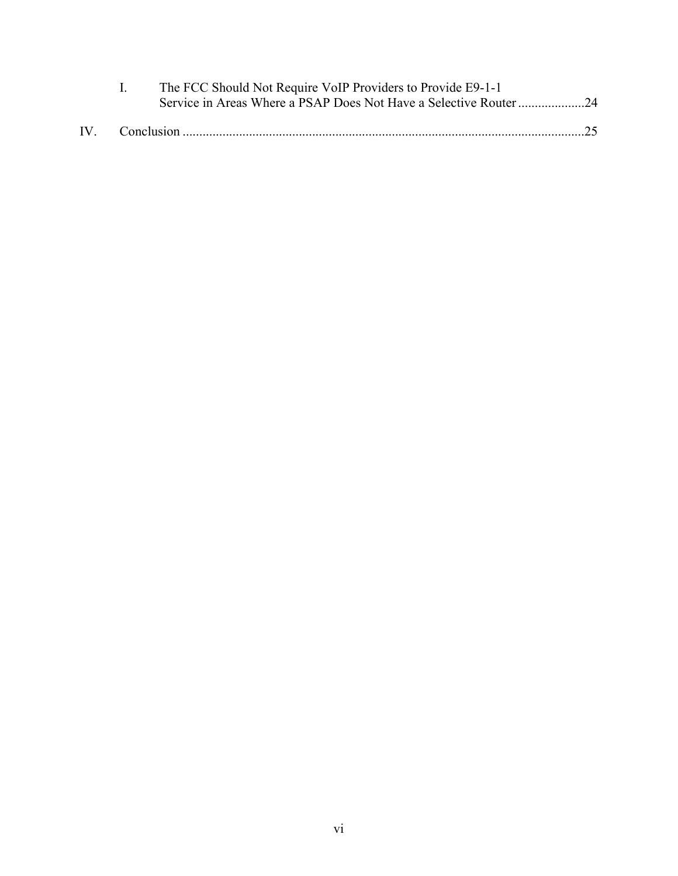|  | The FCC Should Not Require VoIP Providers to Provide E9-1-1 |  |
|--|-------------------------------------------------------------|--|
|  |                                                             |  |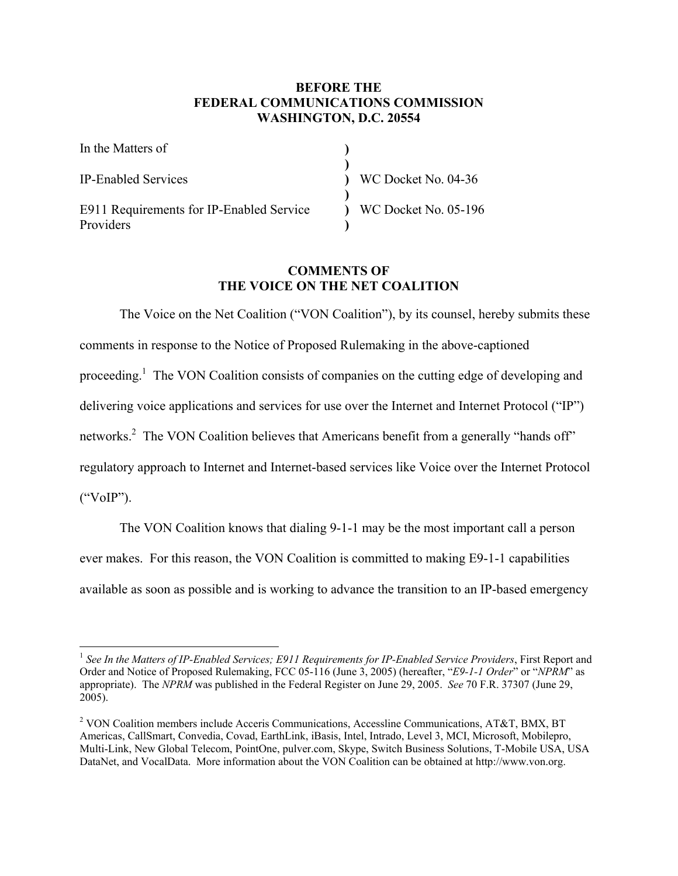### **BEFORE THE FEDERAL COMMUNICATIONS COMMISSION WASHINGTON, D.C. 20554**

| In the Matters of                                     |                                |
|-------------------------------------------------------|--------------------------------|
| <b>IP-Enabled Services</b>                            | $\sqrt{2}$ WC Docket No. 04-36 |
| E911 Requirements for IP-Enabled Service<br>Providers | ) WC Docket No. 05-196         |

### **COMMENTS OF THE VOICE ON THE NET COALITION**

The Voice on the Net Coalition ("VON Coalition"), by its counsel, hereby submits these comments in response to the Notice of Proposed Rulemaking in the above-captioned proceeding.<sup>1</sup> The VON Coalition consists of companies on the cutting edge of developing and delivering voice applications and services for use over the Internet and Internet Protocol ("IP") networks.<sup>2</sup> The VON Coalition believes that Americans benefit from a generally "hands off" regulatory approach to Internet and Internet-based services like Voice over the Internet Protocol ("VoIP").

The VON Coalition knows that dialing 9-1-1 may be the most important call a person ever makes. For this reason, the VON Coalition is committed to making E9-1-1 capabilities available as soon as possible and is working to advance the transition to an IP-based emergency

<sup>&</sup>lt;sup>1</sup> See In the Matters of IP-Enabled Services; E911 Requirements for IP-Enabled Service Providers, First Report and Order and Notice of Proposed Rulemaking, FCC 05-116 (June 3, 2005) (hereafter, "*E9-1-1 Order*" or "*NPRM*" as appropriate). The *NPRM* was published in the Federal Register on June 29, 2005. *See* 70 F.R. 37307 (June 29, 2005).

<sup>&</sup>lt;sup>2</sup> VON Coalition members include Acceris Communications, Accessline Communications, AT&T, BMX, BT Americas, CallSmart, Convedia, Covad, EarthLink, iBasis, Intel, Intrado, Level 3, MCI, Microsoft, Mobilepro, Multi-Link, New Global Telecom, PointOne, pulver.com, Skype, Switch Business Solutions, T-Mobile USA, USA DataNet, and VocalData. More information about the VON Coalition can be obtained at http://www.von.org.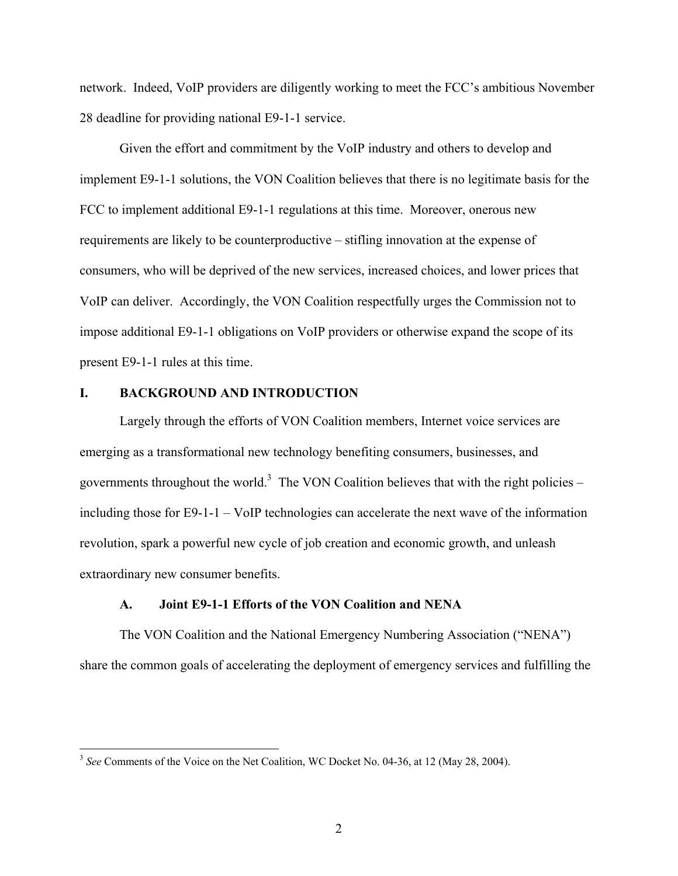network. Indeed, VoIP providers are diligently working to meet the FCC's ambitious November 28 deadline for providing national E9-1-1 service.

Given the effort and commitment by the VoIP industry and others to develop and implement E9-1-1 solutions, the VON Coalition believes that there is no legitimate basis for the FCC to implement additional E9-1-1 regulations at this time. Moreover, onerous new requirements are likely to be counterproductive – stifling innovation at the expense of consumers, who will be deprived of the new services, increased choices, and lower prices that VoIP can deliver. Accordingly, the VON Coalition respectfully urges the Commission not to impose additional E9-1-1 obligations on VoIP providers or otherwise expand the scope of its present E9-1-1 rules at this time.

#### **I. BACKGROUND AND INTRODUCTION**

 $\overline{a}$ 

Largely through the efforts of VON Coalition members, Internet voice services are emerging as a transformational new technology benefiting consumers, businesses, and governments throughout the world.<sup>3</sup> The VON Coalition believes that with the right policies – including those for E9-1-1 – VoIP technologies can accelerate the next wave of the information revolution, spark a powerful new cycle of job creation and economic growth, and unleash extraordinary new consumer benefits.

#### **A. Joint E9-1-1 Efforts of the VON Coalition and NENA**

The VON Coalition and the National Emergency Numbering Association ("NENA") share the common goals of accelerating the deployment of emergency services and fulfilling the

<sup>&</sup>lt;sup>3</sup> See Comments of the Voice on the Net Coalition, WC Docket No. 04-36, at 12 (May 28, 2004).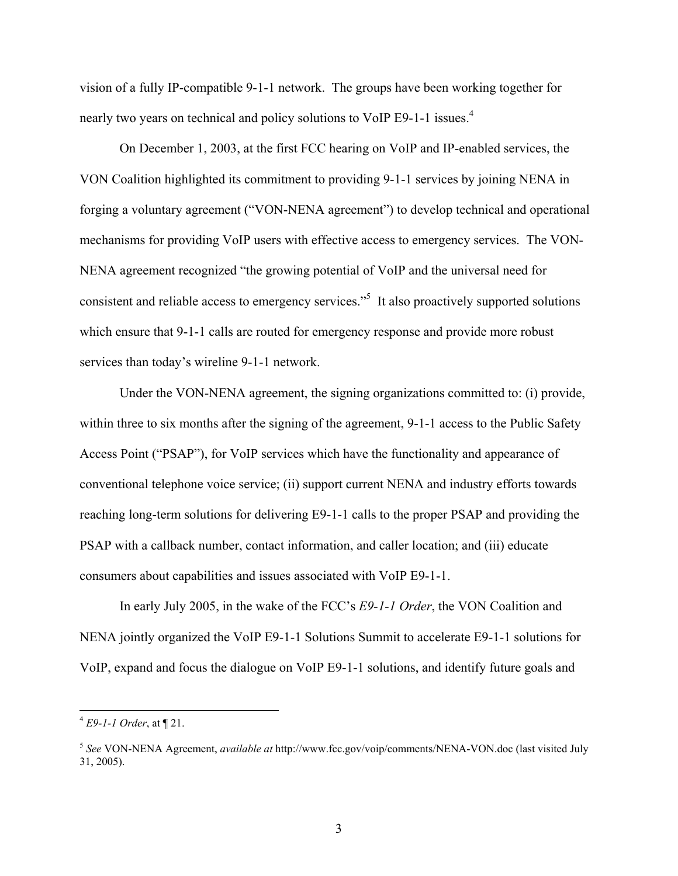vision of a fully IP-compatible 9-1-1 network. The groups have been working together for nearly two years on technical and policy solutions to VoIP E9-1-1 issues.<sup>4</sup>

On December 1, 2003, at the first FCC hearing on VoIP and IP-enabled services, the VON Coalition highlighted its commitment to providing 9-1-1 services by joining NENA in forging a voluntary agreement ("VON-NENA agreement") to develop technical and operational mechanisms for providing VoIP users with effective access to emergency services. The VON-NENA agreement recognized "the growing potential of VoIP and the universal need for consistent and reliable access to emergency services.<sup>55</sup> It also proactively supported solutions which ensure that 9-1-1 calls are routed for emergency response and provide more robust services than today's wireline 9-1-1 network.

Under the VON-NENA agreement, the signing organizations committed to: (i) provide, within three to six months after the signing of the agreement, 9-1-1 access to the Public Safety Access Point ("PSAP"), for VoIP services which have the functionality and appearance of conventional telephone voice service; (ii) support current NENA and industry efforts towards reaching long-term solutions for delivering E9-1-1 calls to the proper PSAP and providing the PSAP with a callback number, contact information, and caller location; and (iii) educate consumers about capabilities and issues associated with VoIP E9-1-1.

In early July 2005, in the wake of the FCC's *E9-1-1 Order*, the VON Coalition and NENA jointly organized the VoIP E9-1-1 Solutions Summit to accelerate E9-1-1 solutions for VoIP, expand and focus the dialogue on VoIP E9-1-1 solutions, and identify future goals and

<sup>4</sup> *E9-1-1 Order*, at ¶ 21.

<sup>5</sup> *See* VON-NENA Agreement, *available at* http://www.fcc.gov/voip/comments/NENA-VON.doc (last visited July 31, 2005).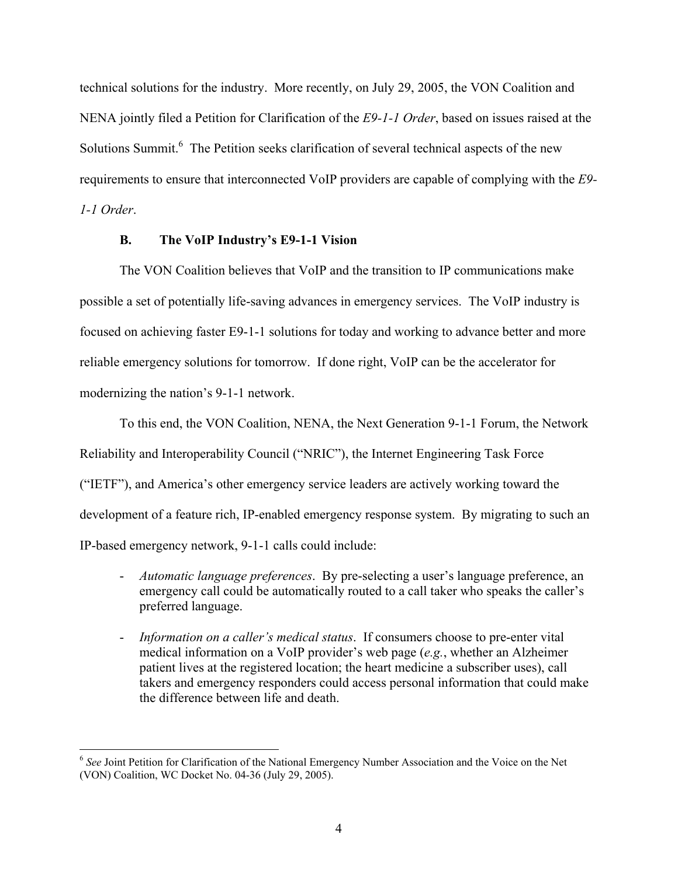technical solutions for the industry. More recently, on July 29, 2005, the VON Coalition and NENA jointly filed a Petition for Clarification of the *E9-1-1 Order*, based on issues raised at the Solutions Summit.<sup>6</sup> The Petition seeks clarification of several technical aspects of the new requirements to ensure that interconnected VoIP providers are capable of complying with the *E9- 1-1 Order*.

#### **B. The VoIP Industry's E9-1-1 Vision**

The VON Coalition believes that VoIP and the transition to IP communications make possible a set of potentially life-saving advances in emergency services. The VoIP industry is focused on achieving faster E9-1-1 solutions for today and working to advance better and more reliable emergency solutions for tomorrow. If done right, VoIP can be the accelerator for modernizing the nation's 9-1-1 network.

To this end, the VON Coalition, NENA, the Next Generation 9-1-1 Forum, the Network Reliability and Interoperability Council ("NRIC"), the Internet Engineering Task Force ("IETF"), and America's other emergency service leaders are actively working toward the development of a feature rich, IP-enabled emergency response system. By migrating to such an IP-based emergency network, 9-1-1 calls could include:

- *Automatic language preferences*. By pre-selecting a user's language preference, an emergency call could be automatically routed to a call taker who speaks the caller's preferred language.
- *Information on a caller's medical status*. If consumers choose to pre-enter vital medical information on a VoIP provider's web page (*e.g.*, whether an Alzheimer patient lives at the registered location; the heart medicine a subscriber uses), call takers and emergency responders could access personal information that could make the difference between life and death.

<sup>&</sup>lt;sup>6</sup> See Joint Petition for Clarification of the National Emergency Number Association and the Voice on the Net (VON) Coalition, WC Docket No. 04-36 (July 29, 2005).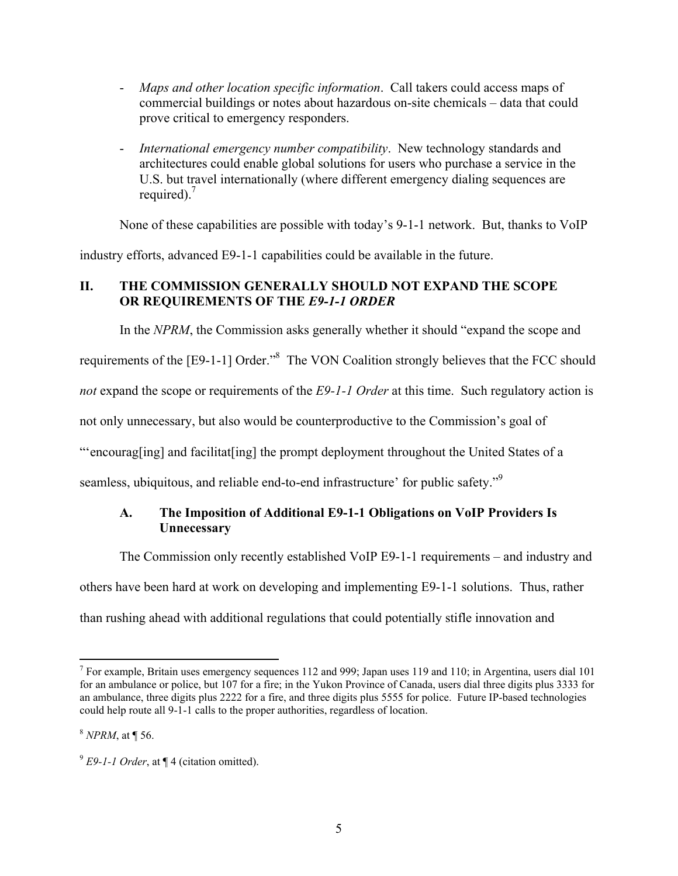- *Maps and other location specific information*. Call takers could access maps of commercial buildings or notes about hazardous on-site chemicals – data that could prove critical to emergency responders.
- *International emergency number compatibility*.New technology standards and architectures could enable global solutions for users who purchase a service in the U.S. but travel internationally (where different emergency dialing sequences are required). $\frac{7}{2}$

None of these capabilities are possible with today's 9-1-1 network. But, thanks to VoIP

industry efforts, advanced E9-1-1 capabilities could be available in the future.

# **II. THE COMMISSION GENERALLY SHOULD NOT EXPAND THE SCOPE OR REQUIREMENTS OF THE** *E9-1-1 ORDER*

In the *NPRM*, the Commission asks generally whether it should "expand the scope and

requirements of the [E9-1-1] Order."<sup>8</sup> The VON Coalition strongly believes that the FCC should

*not* expand the scope or requirements of the *E9-1-1 Order* at this time. Such regulatory action is

not only unnecessary, but also would be counterproductive to the Commission's goal of

"'encourag[ing] and facilitat[ing] the prompt deployment throughout the United States of a

seamless, ubiquitous, and reliable end-to-end infrastructure' for public safety."<sup>9</sup>

### **A. The Imposition of Additional E9-1-1 Obligations on VoIP Providers Is Unnecessary**

The Commission only recently established VoIP E9-1-1 requirements – and industry and

others have been hard at work on developing and implementing E9-1-1 solutions. Thus, rather

than rushing ahead with additional regulations that could potentially stifle innovation and

<sup>&</sup>lt;sup>7</sup> For example, Britain uses emergency sequences 112 and 999; Japan uses 119 and 110; in Argentina, users dial 101 for an ambulance or police, but 107 for a fire; in the Yukon Province of Canada, users dial three digits plus 3333 for an ambulance, three digits plus 2222 for a fire, and three digits plus 5555 for police. Future IP-based technologies could help route all 9-1-1 calls to the proper authorities, regardless of location.

<sup>8</sup> *NPRM*, at ¶ 56.

<sup>9</sup> *E9-1-1 Order*, at ¶ 4 (citation omitted).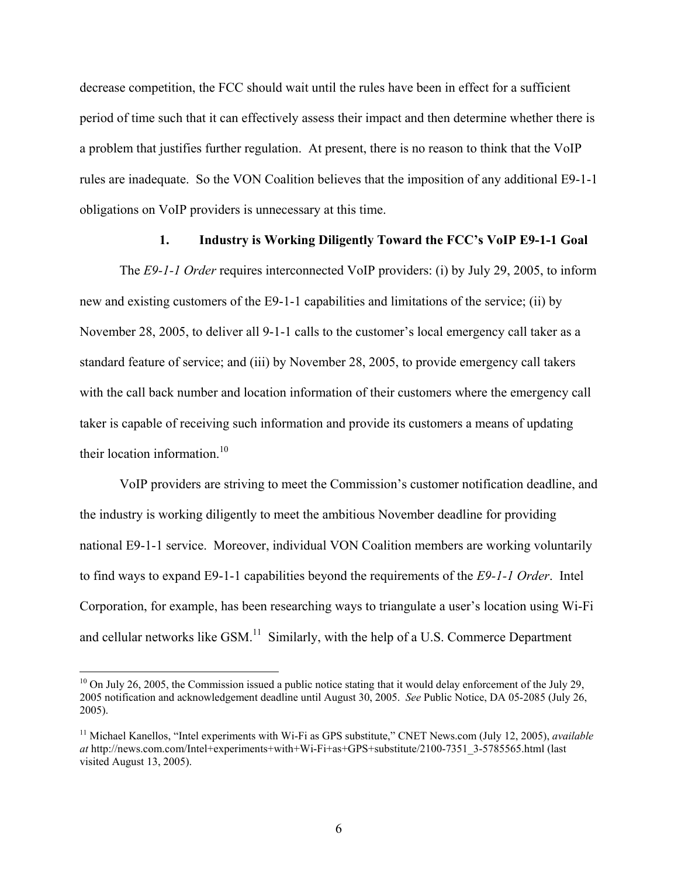decrease competition, the FCC should wait until the rules have been in effect for a sufficient period of time such that it can effectively assess their impact and then determine whether there is a problem that justifies further regulation. At present, there is no reason to think that the VoIP rules are inadequate. So the VON Coalition believes that the imposition of any additional E9-1-1 obligations on VoIP providers is unnecessary at this time.

### **1. Industry is Working Diligently Toward the FCC's VoIP E9-1-1 Goal**

The *E9-1-1 Order* requires interconnected VoIP providers: (i) by July 29, 2005, to inform new and existing customers of the E9-1-1 capabilities and limitations of the service; (ii) by November 28, 2005, to deliver all 9-1-1 calls to the customer's local emergency call taker as a standard feature of service; and (iii) by November 28, 2005, to provide emergency call takers with the call back number and location information of their customers where the emergency call taker is capable of receiving such information and provide its customers a means of updating their location information. $10$ 

VoIP providers are striving to meet the Commission's customer notification deadline, and the industry is working diligently to meet the ambitious November deadline for providing national E9-1-1 service. Moreover, individual VON Coalition members are working voluntarily to find ways to expand E9-1-1 capabilities beyond the requirements of the *E9-1-1 Order*. Intel Corporation, for example, has been researching ways to triangulate a user's location using Wi-Fi and cellular networks like GSM.<sup>11</sup> Similarly, with the help of a U.S. Commerce Department

 $10$  On July 26, 2005, the Commission issued a public notice stating that it would delay enforcement of the July 29, 2005 notification and acknowledgement deadline until August 30, 2005. *See* Public Notice, DA 05-2085 (July 26, 2005).

<sup>11</sup> Michael Kanellos, "Intel experiments with Wi-Fi as GPS substitute," CNET News.com (July 12, 2005), *available at* http://news.com.com/Intel+experiments+with+Wi-Fi+as+GPS+substitute/2100-7351\_3-5785565.html (last visited August 13, 2005).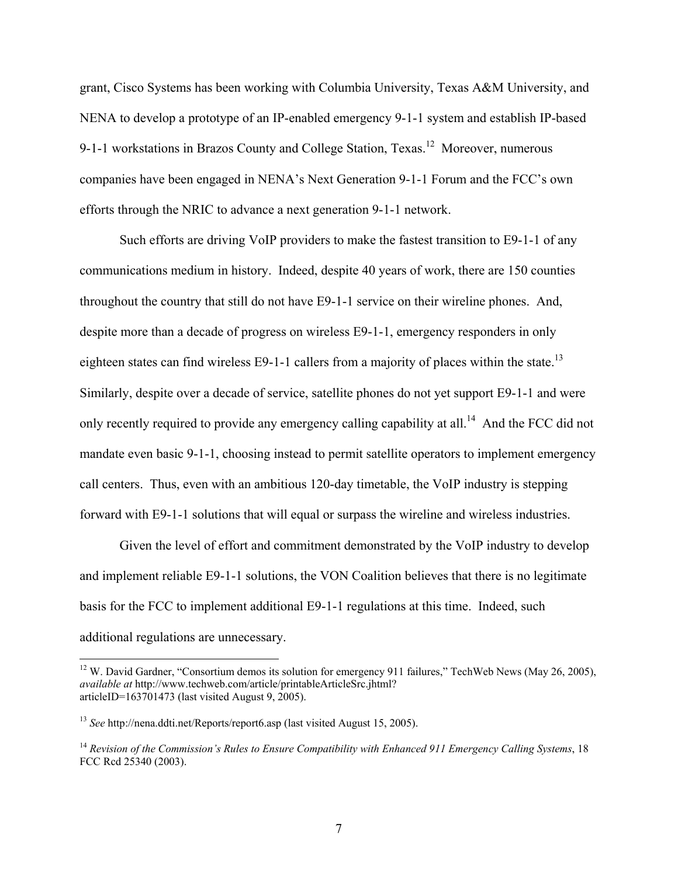grant, Cisco Systems has been working with Columbia University, Texas A&M University, and NENA to develop a prototype of an IP-enabled emergency 9-1-1 system and establish IP-based 9-1-1 workstations in Brazos County and College Station, Texas.<sup>12</sup> Moreover, numerous companies have been engaged in NENA's Next Generation 9-1-1 Forum and the FCC's own efforts through the NRIC to advance a next generation 9-1-1 network.

Such efforts are driving VoIP providers to make the fastest transition to E9-1-1 of any communications medium in history. Indeed, despite 40 years of work, there are 150 counties throughout the country that still do not have E9-1-1 service on their wireline phones. And, despite more than a decade of progress on wireless E9-1-1, emergency responders in only eighteen states can find wireless E9-1-1 callers from a majority of places within the state.<sup>13</sup> Similarly, despite over a decade of service, satellite phones do not yet support E9-1-1 and were only recently required to provide any emergency calling capability at all.<sup>14</sup> And the FCC did not mandate even basic 9-1-1, choosing instead to permit satellite operators to implement emergency call centers. Thus, even with an ambitious 120-day timetable, the VoIP industry is stepping forward with E9-1-1 solutions that will equal or surpass the wireline and wireless industries.

Given the level of effort and commitment demonstrated by the VoIP industry to develop and implement reliable E9-1-1 solutions, the VON Coalition believes that there is no legitimate basis for the FCC to implement additional E9-1-1 regulations at this time. Indeed, such additional regulations are unnecessary.

 $12$  W. David Gardner, "Consortium demos its solution for emergency 911 failures," TechWeb News (May 26, 2005), *available at* http://www.techweb.com/article/printableArticleSrc.jhtml? articleID=163701473 (last visited August 9,  $2005$ ).

<sup>13</sup> *See* http://nena.ddti.net/Reports/report6.asp (last visited August 15, 2005).

<sup>14</sup> *Revision of the Commission's Rules to Ensure Compatibility with Enhanced 911 Emergency Calling Systems*, 18 FCC Rcd 25340 (2003).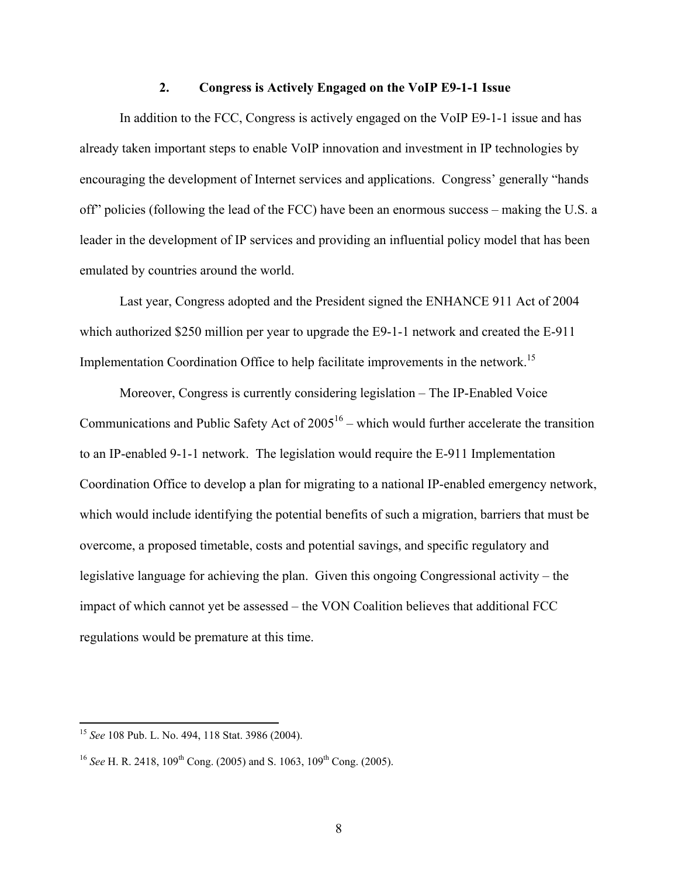#### **2. Congress is Actively Engaged on the VoIP E9-1-1 Issue**

In addition to the FCC, Congress is actively engaged on the VoIP E9-1-1 issue and has already taken important steps to enable VoIP innovation and investment in IP technologies by encouraging the development of Internet services and applications. Congress' generally "hands off" policies (following the lead of the FCC) have been an enormous success – making the U.S. a leader in the development of IP services and providing an influential policy model that has been emulated by countries around the world.

Last year, Congress adopted and the President signed the ENHANCE 911 Act of 2004 which authorized \$250 million per year to upgrade the E9-1-1 network and created the E-911 Implementation Coordination Office to help facilitate improvements in the network.<sup>15</sup>

Moreover, Congress is currently considering legislation – The IP-Enabled Voice Communications and Public Safety Act of  $2005^{16}$  – which would further accelerate the transition to an IP-enabled 9-1-1 network. The legislation would require the E-911 Implementation Coordination Office to develop a plan for migrating to a national IP-enabled emergency network, which would include identifying the potential benefits of such a migration, barriers that must be overcome, a proposed timetable, costs and potential savings, and specific regulatory and legislative language for achieving the plan. Given this ongoing Congressional activity – the impact of which cannot yet be assessed – the VON Coalition believes that additional FCC regulations would be premature at this time.

<sup>15</sup> *See* 108 Pub. L. No. 494, 118 Stat. 3986 (2004).

<sup>&</sup>lt;sup>16</sup> *See* H. R. 2418, 109<sup>th</sup> Cong. (2005) and S. 1063, 109<sup>th</sup> Cong. (2005).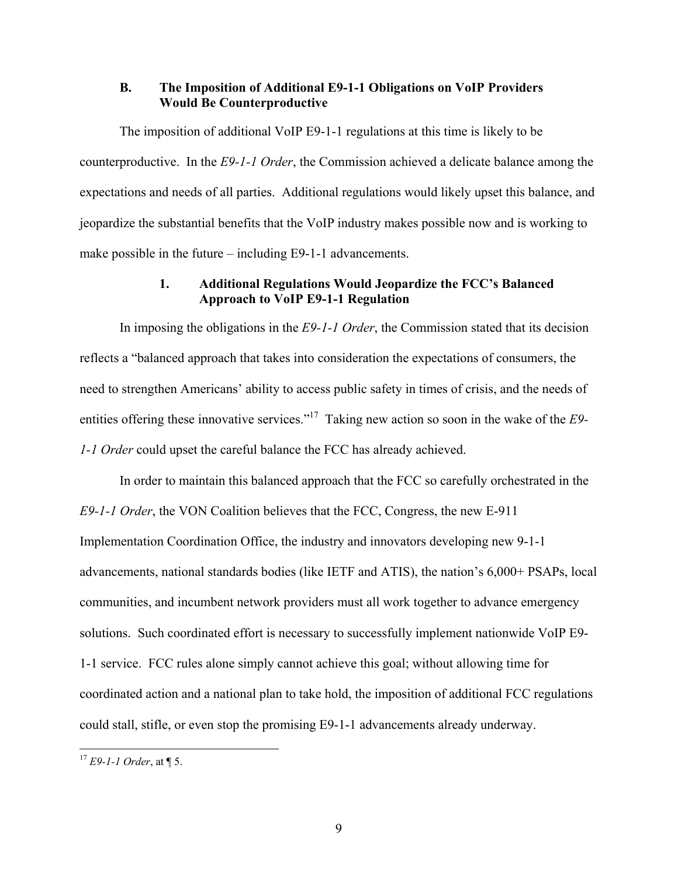#### **B. The Imposition of Additional E9-1-1 Obligations on VoIP Providers Would Be Counterproductive**

The imposition of additional VoIP E9-1-1 regulations at this time is likely to be counterproductive. In the *E9-1-1 Order*, the Commission achieved a delicate balance among the expectations and needs of all parties. Additional regulations would likely upset this balance, and jeopardize the substantial benefits that the VoIP industry makes possible now and is working to make possible in the future – including E9-1-1 advancements.

#### **1. Additional Regulations Would Jeopardize the FCC's Balanced Approach to VoIP E9-1-1 Regulation**

In imposing the obligations in the *E9-1-1 Order*, the Commission stated that its decision reflects a "balanced approach that takes into consideration the expectations of consumers, the need to strengthen Americans' ability to access public safety in times of crisis, and the needs of entities offering these innovative services."17 Taking new action so soon in the wake of the *E9- 1-1 Order* could upset the careful balance the FCC has already achieved.

In order to maintain this balanced approach that the FCC so carefully orchestrated in the *E9-1-1 Order*, the VON Coalition believes that the FCC, Congress, the new E-911 Implementation Coordination Office, the industry and innovators developing new 9-1-1 advancements, national standards bodies (like IETF and ATIS), the nation's 6,000+ PSAPs, local communities, and incumbent network providers must all work together to advance emergency solutions. Such coordinated effort is necessary to successfully implement nationwide VoIP E9- 1-1 service. FCC rules alone simply cannot achieve this goal; without allowing time for coordinated action and a national plan to take hold, the imposition of additional FCC regulations could stall, stifle, or even stop the promising E9-1-1 advancements already underway.

<sup>17</sup> *E9-1-1 Order*, at ¶ 5.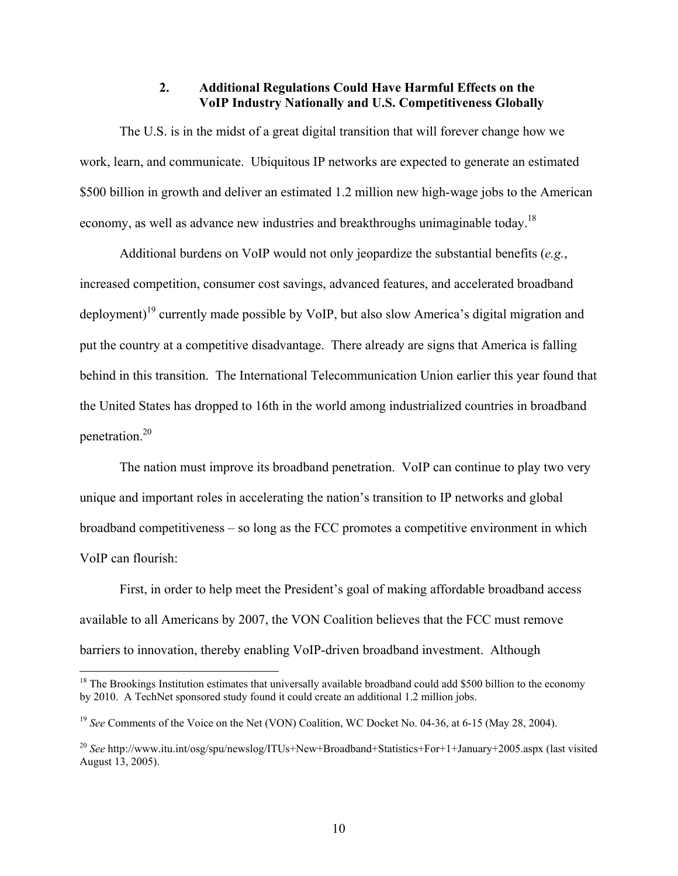### **2. Additional Regulations Could Have Harmful Effects on the VoIP Industry Nationally and U.S. Competitiveness Globally**

The U.S. is in the midst of a great digital transition that will forever change how we work, learn, and communicate. Ubiquitous IP networks are expected to generate an estimated \$500 billion in growth and deliver an estimated 1.2 million new high-wage jobs to the American economy, as well as advance new industries and breakthroughs unimaginable today.<sup>18</sup>

Additional burdens on VoIP would not only jeopardize the substantial benefits (*e.g.*, increased competition, consumer cost savings, advanced features, and accelerated broadband deployment)<sup>19</sup> currently made possible by VoIP, but also slow America's digital migration and put the country at a competitive disadvantage. There already are signs that America is falling behind in this transition. The International Telecommunication Union earlier this year found that the United States has dropped to 16th in the world among industrialized countries in broadband penetration.20

The nation must improve its broadband penetration. VoIP can continue to play two very unique and important roles in accelerating the nation's transition to IP networks and global broadband competitiveness – so long as the FCC promotes a competitive environment in which VoIP can flourish:

First, in order to help meet the President's goal of making affordable broadband access available to all Americans by 2007, the VON Coalition believes that the FCC must remove barriers to innovation, thereby enabling VoIP-driven broadband investment. Although

<sup>&</sup>lt;sup>18</sup> The Brookings Institution estimates that universally available broadband could add \$500 billion to the economy by 2010. A TechNet sponsored study found it could create an additional 1.2 million jobs.

<sup>&</sup>lt;sup>19</sup> *See* Comments of the Voice on the Net (VON) Coalition, WC Docket No. 04-36, at 6-15 (May 28, 2004).

<sup>20</sup> *See* http://www.itu.int/osg/spu/newslog/ITUs+New+Broadband+Statistics+For+1+January+2005.aspx (last visited August 13, 2005).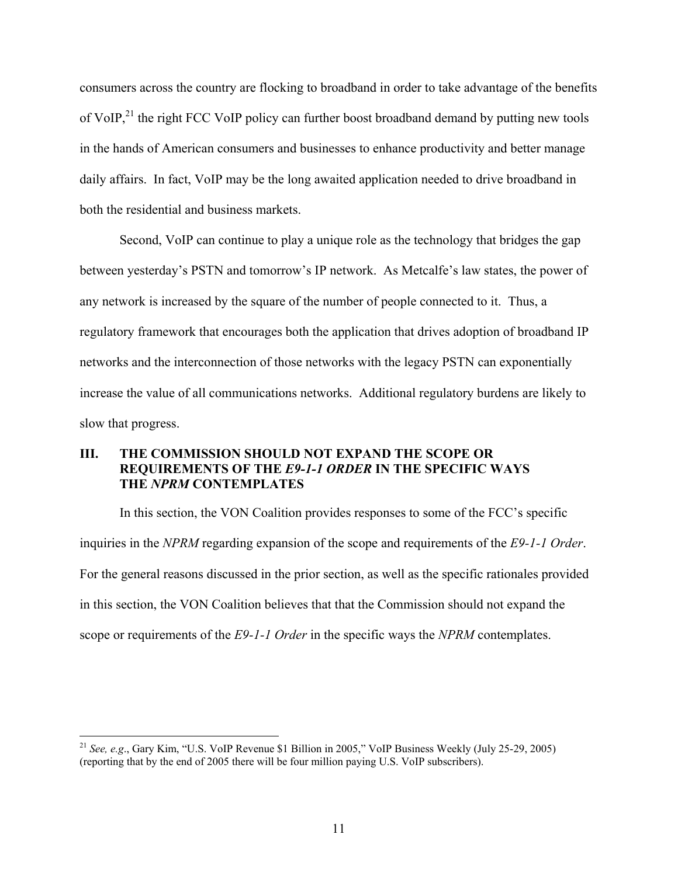consumers across the country are flocking to broadband in order to take advantage of the benefits of VoIP, $^{21}$  the right FCC VoIP policy can further boost broadband demand by putting new tools in the hands of American consumers and businesses to enhance productivity and better manage daily affairs. In fact, VoIP may be the long awaited application needed to drive broadband in both the residential and business markets.

Second, VoIP can continue to play a unique role as the technology that bridges the gap between yesterday's PSTN and tomorrow's IP network. As Metcalfe's law states, the power of any network is increased by the square of the number of people connected to it. Thus, a regulatory framework that encourages both the application that drives adoption of broadband IP networks and the interconnection of those networks with the legacy PSTN can exponentially increase the value of all communications networks. Additional regulatory burdens are likely to slow that progress.

### **III. THE COMMISSION SHOULD NOT EXPAND THE SCOPE OR REQUIREMENTS OF THE** *E9-1-1 ORDER* **IN THE SPECIFIC WAYS THE** *NPRM* **CONTEMPLATES**

In this section, the VON Coalition provides responses to some of the FCC's specific inquiries in the *NPRM* regarding expansion of the scope and requirements of the *E9-1-1 Order*. For the general reasons discussed in the prior section, as well as the specific rationales provided in this section, the VON Coalition believes that that the Commission should not expand the scope or requirements of the *E9-1-1 Order* in the specific ways the *NPRM* contemplates.

<sup>21</sup> *See, e.g*., Gary Kim, "U.S. VoIP Revenue \$1 Billion in 2005," VoIP Business Weekly (July 25-29, 2005) (reporting that by the end of 2005 there will be four million paying U.S. VoIP subscribers).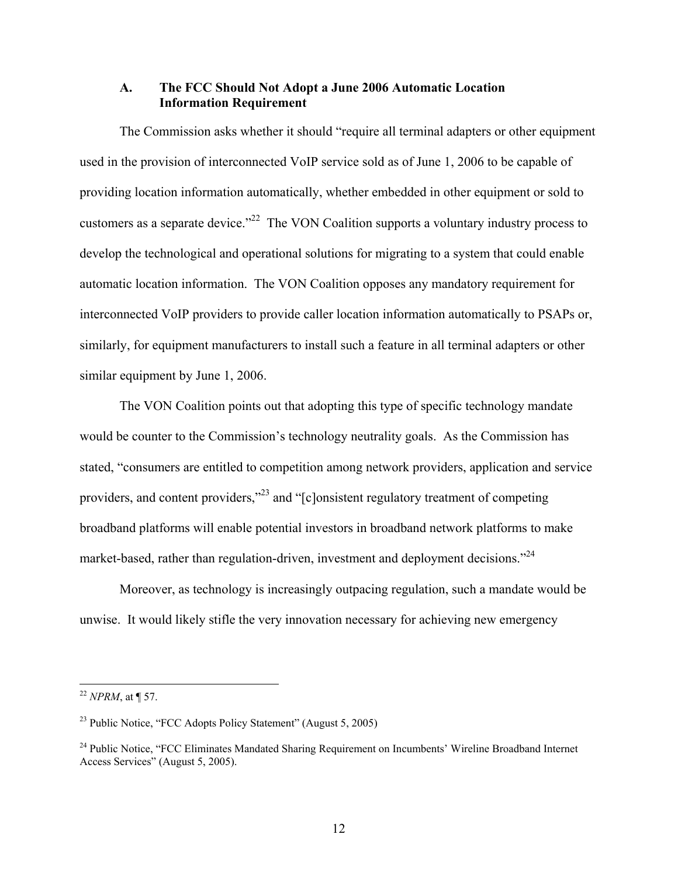#### **A. The FCC Should Not Adopt a June 2006 Automatic Location Information Requirement**

The Commission asks whether it should "require all terminal adapters or other equipment used in the provision of interconnected VoIP service sold as of June 1, 2006 to be capable of providing location information automatically, whether embedded in other equipment or sold to customers as a separate device."<sup>22</sup> The VON Coalition supports a voluntary industry process to develop the technological and operational solutions for migrating to a system that could enable automatic location information. The VON Coalition opposes any mandatory requirement for interconnected VoIP providers to provide caller location information automatically to PSAPs or, similarly, for equipment manufacturers to install such a feature in all terminal adapters or other similar equipment by June 1, 2006.

The VON Coalition points out that adopting this type of specific technology mandate would be counter to the Commission's technology neutrality goals. As the Commission has stated, "consumers are entitled to competition among network providers, application and service providers, and content providers,"<sup>23</sup> and "[c]onsistent regulatory treatment of competing broadband platforms will enable potential investors in broadband network platforms to make market-based, rather than regulation-driven, investment and deployment decisions."<sup>24</sup>

Moreover, as technology is increasingly outpacing regulation, such a mandate would be unwise. It would likely stifle the very innovation necessary for achieving new emergency

<sup>22</sup> *NPRM*, at ¶ 57.

<sup>23</sup> Public Notice, "FCC Adopts Policy Statement" (August 5, 2005)

<sup>&</sup>lt;sup>24</sup> Public Notice, "FCC Eliminates Mandated Sharing Requirement on Incumbents' Wireline Broadband Internet Access Services" (August 5, 2005).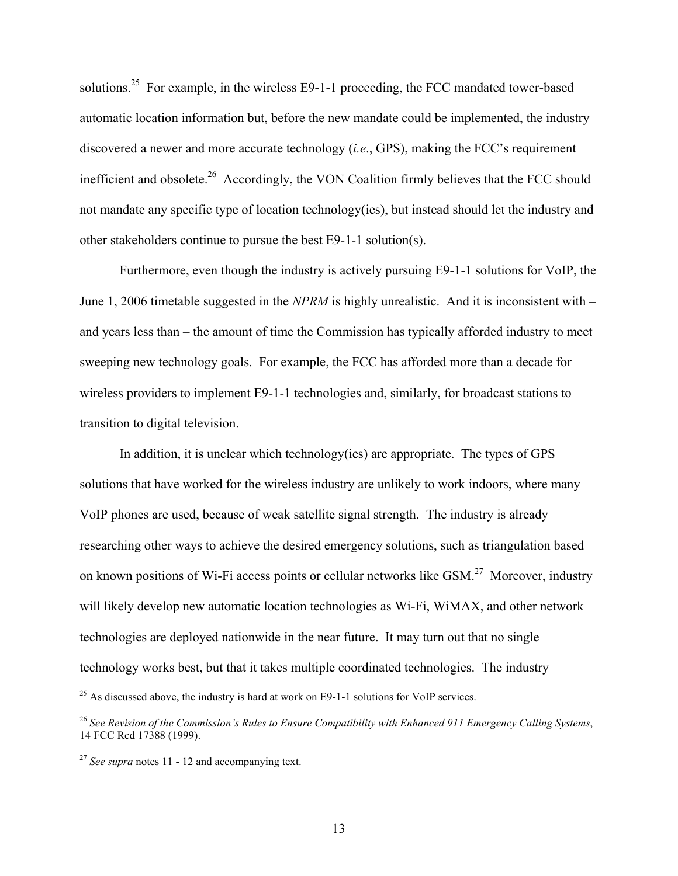solutions.<sup>25</sup> For example, in the wireless E9-1-1 proceeding, the FCC mandated tower-based automatic location information but, before the new mandate could be implemented, the industry discovered a newer and more accurate technology (*i.e*., GPS), making the FCC's requirement inefficient and obsolete.<sup>26</sup> Accordingly, the VON Coalition firmly believes that the FCC should not mandate any specific type of location technology(ies), but instead should let the industry and other stakeholders continue to pursue the best E9-1-1 solution(s).

Furthermore, even though the industry is actively pursuing E9-1-1 solutions for VoIP, the June 1, 2006 timetable suggested in the *NPRM* is highly unrealistic. And it is inconsistent with – and years less than – the amount of time the Commission has typically afforded industry to meet sweeping new technology goals. For example, the FCC has afforded more than a decade for wireless providers to implement E9-1-1 technologies and, similarly, for broadcast stations to transition to digital television.

In addition, it is unclear which technology(ies) are appropriate. The types of GPS solutions that have worked for the wireless industry are unlikely to work indoors, where many VoIP phones are used, because of weak satellite signal strength. The industry is already researching other ways to achieve the desired emergency solutions, such as triangulation based on known positions of Wi-Fi access points or cellular networks like GSM.<sup>27</sup> Moreover, industry will likely develop new automatic location technologies as Wi-Fi, WiMAX, and other network technologies are deployed nationwide in the near future. It may turn out that no single technology works best, but that it takes multiple coordinated technologies. The industry

 $^{25}$  As discussed above, the industry is hard at work on E9-1-1 solutions for VoIP services.

<sup>26</sup> *See Revision of the Commission's Rules to Ensure Compatibility with Enhanced 911 Emergency Calling Systems*, 14 FCC Rcd 17388 (1999).

<sup>27</sup> *See supra* notes 11 - 12 and accompanying text.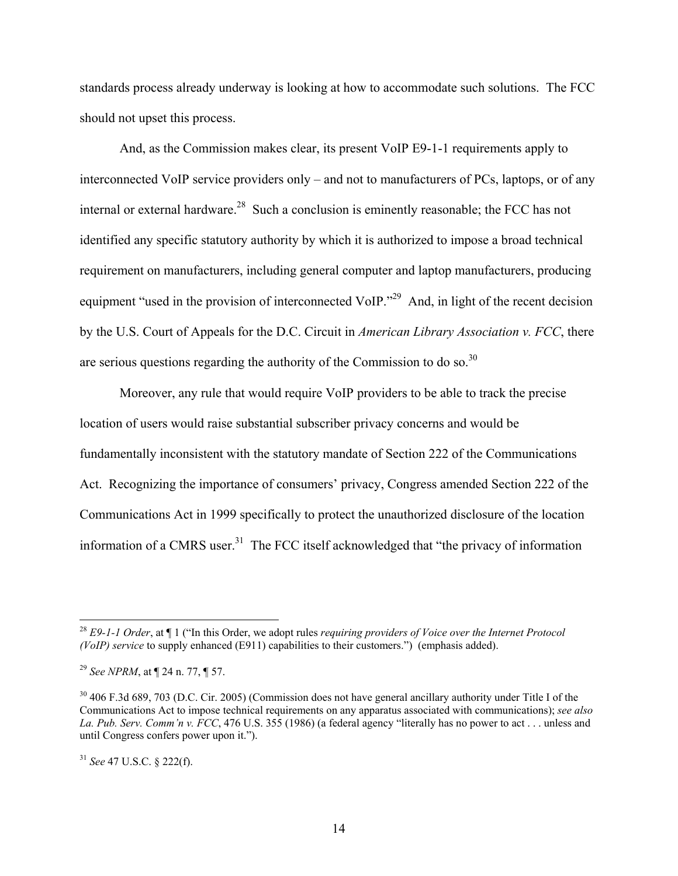standards process already underway is looking at how to accommodate such solutions. The FCC should not upset this process.

And, as the Commission makes clear, its present VoIP E9-1-1 requirements apply to interconnected VoIP service providers only – and not to manufacturers of PCs, laptops, or of any internal or external hardware.<sup>28</sup> Such a conclusion is eminently reasonable; the FCC has not identified any specific statutory authority by which it is authorized to impose a broad technical requirement on manufacturers, including general computer and laptop manufacturers, producing equipment "used in the provision of interconnected VoIP."<sup>29</sup> And, in light of the recent decision by the U.S. Court of Appeals for the D.C. Circuit in *American Library Association v. FCC*, there are serious questions regarding the authority of the Commission to do so.<sup>30</sup>

Moreover, any rule that would require VoIP providers to be able to track the precise location of users would raise substantial subscriber privacy concerns and would be fundamentally inconsistent with the statutory mandate of Section 222 of the Communications Act. Recognizing the importance of consumers' privacy, Congress amended Section 222 of the Communications Act in 1999 specifically to protect the unauthorized disclosure of the location information of a CMRS user.<sup>31</sup> The FCC itself acknowledged that "the privacy of information

<sup>28</sup> *E9-1-1 Order*, at ¶ 1 ("In this Order, we adopt rules *requiring providers of Voice over the Internet Protocol (VoIP) service* to supply enhanced (E911) capabilities to their customers.") (emphasis added).

<sup>29</sup> *See NPRM*, at ¶ 24 n. 77, ¶ 57.

<sup>&</sup>lt;sup>30</sup> 406 F.3d 689, 703 (D.C. Cir. 2005) (Commission does not have general ancillary authority under Title I of the Communications Act to impose technical requirements on any apparatus associated with communications); *see also La. Pub. Serv. Comm'n v. FCC*, 476 U.S. 355 (1986) (a federal agency "literally has no power to act . . . unless and until Congress confers power upon it.").

<sup>31</sup> *See* 47 U.S.C. § 222(f).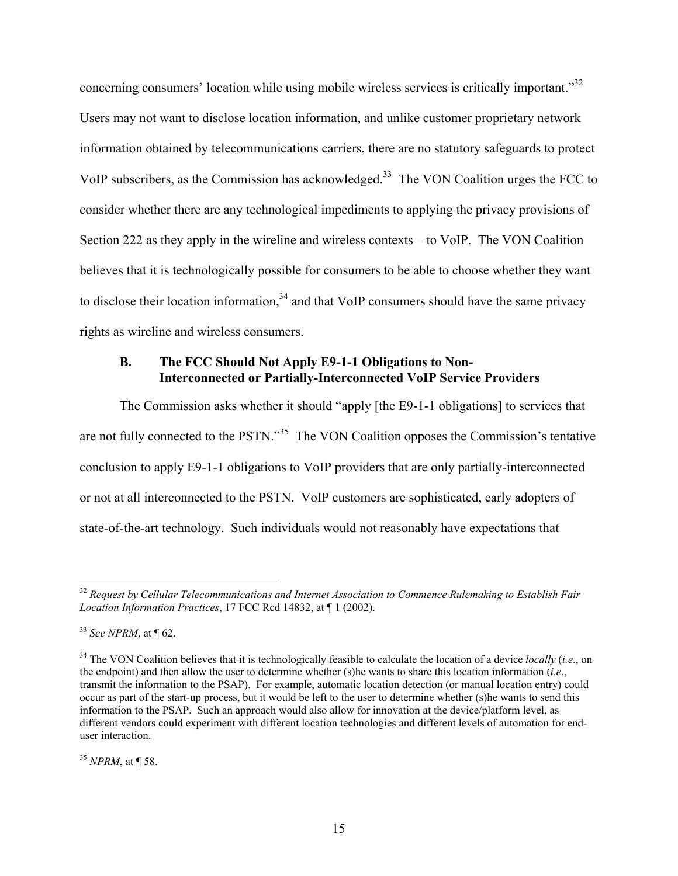concerning consumers' location while using mobile wireless services is critically important."<sup>32</sup> Users may not want to disclose location information, and unlike customer proprietary network information obtained by telecommunications carriers, there are no statutory safeguards to protect VoIP subscribers, as the Commission has acknowledged.<sup>33</sup> The VON Coalition urges the FCC to consider whether there are any technological impediments to applying the privacy provisions of Section 222 as they apply in the wireline and wireless contexts – to VoIP. The VON Coalition believes that it is technologically possible for consumers to be able to choose whether they want to disclose their location information,  $34$  and that VoIP consumers should have the same privacy rights as wireline and wireless consumers.

#### **B. The FCC Should Not Apply E9-1-1 Obligations to Non-Interconnected or Partially-Interconnected VoIP Service Providers**

The Commission asks whether it should "apply [the E9-1-1 obligations] to services that are not fully connected to the PSTN."<sup>35</sup> The VON Coalition opposes the Commission's tentative conclusion to apply E9-1-1 obligations to VoIP providers that are only partially-interconnected or not at all interconnected to the PSTN. VoIP customers are sophisticated, early adopters of state-of-the-art technology. Such individuals would not reasonably have expectations that

 $\overline{a}$ 

<sup>35</sup> *NPRM*, at ¶ 58.

<sup>32</sup> *Request by Cellular Telecommunications and Internet Association to Commence Rulemaking to Establish Fair Location Information Practices*, 17 FCC Rcd 14832, at ¶ 1 (2002).

<sup>33</sup> *See NPRM*, at ¶ 62.

<sup>&</sup>lt;sup>34</sup> The VON Coalition believes that it is technologically feasible to calculate the location of a device *locally* (*i.e.*, on the endpoint) and then allow the user to determine whether (s)he wants to share this location information (*i.e*., transmit the information to the PSAP). For example, automatic location detection (or manual location entry) could occur as part of the start-up process, but it would be left to the user to determine whether (s)he wants to send this information to the PSAP. Such an approach would also allow for innovation at the device/platform level, as different vendors could experiment with different location technologies and different levels of automation for enduser interaction.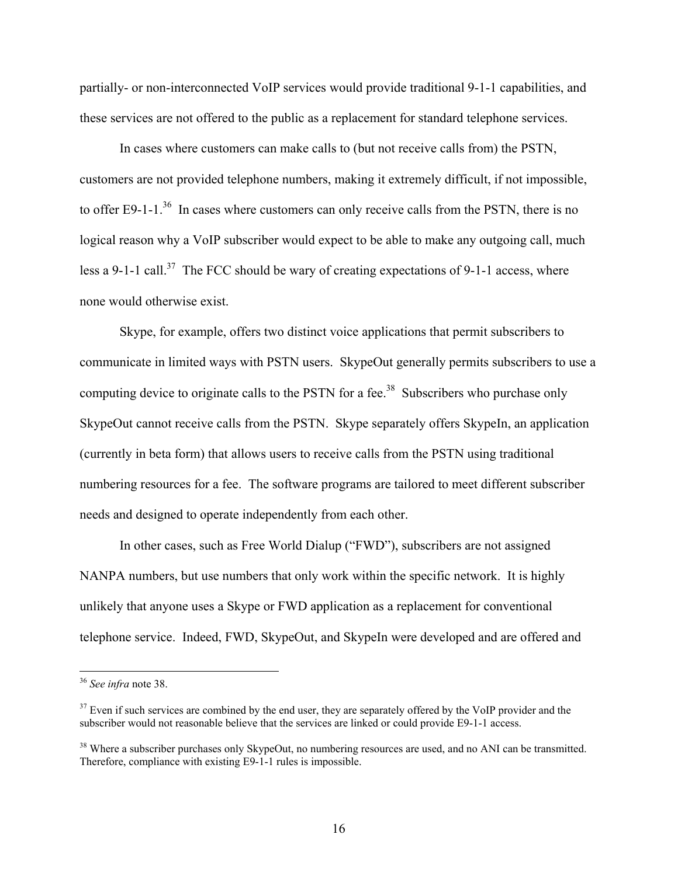partially- or non-interconnected VoIP services would provide traditional 9-1-1 capabilities, and these services are not offered to the public as a replacement for standard telephone services.

In cases where customers can make calls to (but not receive calls from) the PSTN, customers are not provided telephone numbers, making it extremely difficult, if not impossible, to offer E9-1-1.<sup>36</sup> In cases where customers can only receive calls from the PSTN, there is no logical reason why a VoIP subscriber would expect to be able to make any outgoing call, much less a 9-1-1 call.<sup>37</sup> The FCC should be wary of creating expectations of 9-1-1 access, where none would otherwise exist.

Skype, for example, offers two distinct voice applications that permit subscribers to communicate in limited ways with PSTN users. SkypeOut generally permits subscribers to use a computing device to originate calls to the PSTN for a fee.<sup>38</sup> Subscribers who purchase only SkypeOut cannot receive calls from the PSTN. Skype separately offers SkypeIn, an application (currently in beta form) that allows users to receive calls from the PSTN using traditional numbering resources for a fee. The software programs are tailored to meet different subscriber needs and designed to operate independently from each other.

In other cases, such as Free World Dialup ("FWD"), subscribers are not assigned NANPA numbers, but use numbers that only work within the specific network. It is highly unlikely that anyone uses a Skype or FWD application as a replacement for conventional telephone service. Indeed, FWD, SkypeOut, and SkypeIn were developed and are offered and

1

<sup>36</sup> *See infra* note 38.

 $37$  Even if such services are combined by the end user, they are separately offered by the VoIP provider and the subscriber would not reasonable believe that the services are linked or could provide E9-1-1 access.

<sup>&</sup>lt;sup>38</sup> Where a subscriber purchases only SkypeOut, no numbering resources are used, and no ANI can be transmitted. Therefore, compliance with existing E9-1-1 rules is impossible.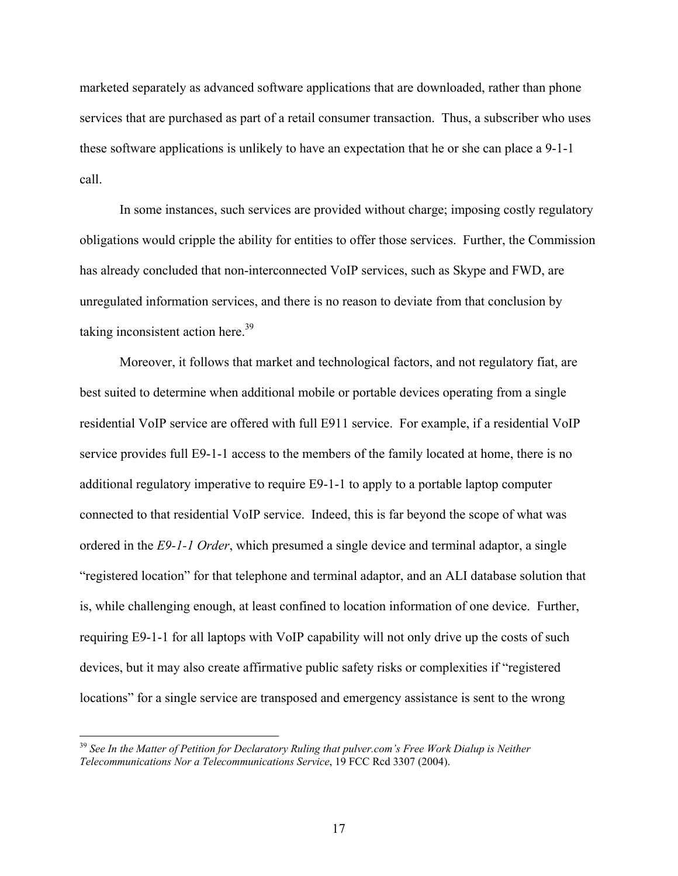marketed separately as advanced software applications that are downloaded, rather than phone services that are purchased as part of a retail consumer transaction. Thus, a subscriber who uses these software applications is unlikely to have an expectation that he or she can place a 9-1-1 call.

In some instances, such services are provided without charge; imposing costly regulatory obligations would cripple the ability for entities to offer those services. Further, the Commission has already concluded that non-interconnected VoIP services, such as Skype and FWD, are unregulated information services, and there is no reason to deviate from that conclusion by taking inconsistent action here. $39$ 

Moreover, it follows that market and technological factors, and not regulatory fiat, are best suited to determine when additional mobile or portable devices operating from a single residential VoIP service are offered with full E911 service. For example, if a residential VoIP service provides full E9-1-1 access to the members of the family located at home, there is no additional regulatory imperative to require E9-1-1 to apply to a portable laptop computer connected to that residential VoIP service. Indeed, this is far beyond the scope of what was ordered in the *E9-1-1 Order*, which presumed a single device and terminal adaptor, a single "registered location" for that telephone and terminal adaptor, and an ALI database solution that is, while challenging enough, at least confined to location information of one device. Further, requiring E9-1-1 for all laptops with VoIP capability will not only drive up the costs of such devices, but it may also create affirmative public safety risks or complexities if "registered locations" for a single service are transposed and emergency assistance is sent to the wrong

<sup>&</sup>lt;sup>39</sup> See In the Matter of Petition for Declaratory Ruling that pulver.com's Free Work Dialup is Neither *Telecommunications Nor a Telecommunications Service*, 19 FCC Rcd 3307 (2004).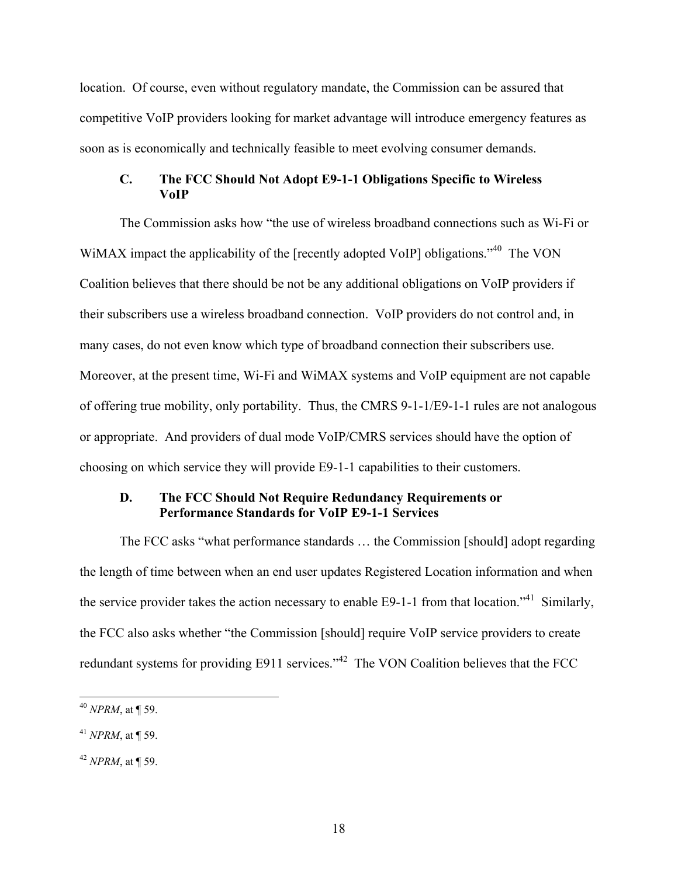location. Of course, even without regulatory mandate, the Commission can be assured that competitive VoIP providers looking for market advantage will introduce emergency features as soon as is economically and technically feasible to meet evolving consumer demands.

#### **C. The FCC Should Not Adopt E9-1-1 Obligations Specific to Wireless VoIP**

The Commission asks how "the use of wireless broadband connections such as Wi-Fi or WiMAX impact the applicability of the [recently adopted VoIP] obligations.<sup>740</sup> The VON Coalition believes that there should be not be any additional obligations on VoIP providers if their subscribers use a wireless broadband connection. VoIP providers do not control and, in many cases, do not even know which type of broadband connection their subscribers use. Moreover, at the present time, Wi-Fi and WiMAX systems and VoIP equipment are not capable of offering true mobility, only portability. Thus, the CMRS 9-1-1/E9-1-1 rules are not analogous or appropriate. And providers of dual mode VoIP/CMRS services should have the option of choosing on which service they will provide E9-1-1 capabilities to their customers.

### **D. The FCC Should Not Require Redundancy Requirements or Performance Standards for VoIP E9-1-1 Services**

The FCC asks "what performance standards … the Commission [should] adopt regarding the length of time between when an end user updates Registered Location information and when the service provider takes the action necessary to enable E9-1-1 from that location.<sup>"41</sup> Similarly, the FCC also asks whether "the Commission [should] require VoIP service providers to create redundant systems for providing E911 services."<sup>42</sup> The VON Coalition believes that the FCC

<sup>40</sup> *NPRM*, at ¶ 59.

<sup>41</sup> *NPRM*, at ¶ 59.

<sup>42</sup> *NPRM*, at ¶ 59.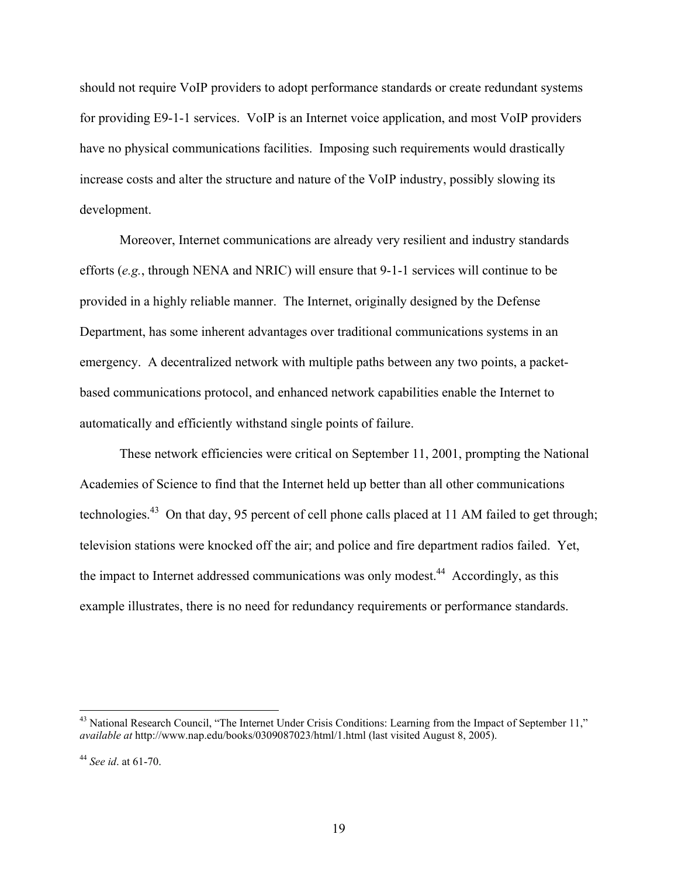should not require VoIP providers to adopt performance standards or create redundant systems for providing E9-1-1 services. VoIP is an Internet voice application, and most VoIP providers have no physical communications facilities. Imposing such requirements would drastically increase costs and alter the structure and nature of the VoIP industry, possibly slowing its development.

Moreover, Internet communications are already very resilient and industry standards efforts (*e.g.*, through NENA and NRIC) will ensure that 9-1-1 services will continue to be provided in a highly reliable manner. The Internet, originally designed by the Defense Department, has some inherent advantages over traditional communications systems in an emergency. A decentralized network with multiple paths between any two points, a packetbased communications protocol, and enhanced network capabilities enable the Internet to automatically and efficiently withstand single points of failure.

These network efficiencies were critical on September 11, 2001, prompting the National Academies of Science to find that the Internet held up better than all other communications technologies.43 On that day, 95 percent of cell phone calls placed at 11 AM failed to get through; television stations were knocked off the air; and police and fire department radios failed. Yet, the impact to Internet addressed communications was only modest.<sup>44</sup> Accordingly, as this example illustrates, there is no need for redundancy requirements or performance standards.

 $43$  National Research Council, "The Internet Under Crisis Conditions: Learning from the Impact of September 11," *available at* http://www.nap.edu/books/0309087023/html/1.html (last visited August 8, 2005).

<sup>44</sup> *See id*. at 61-70.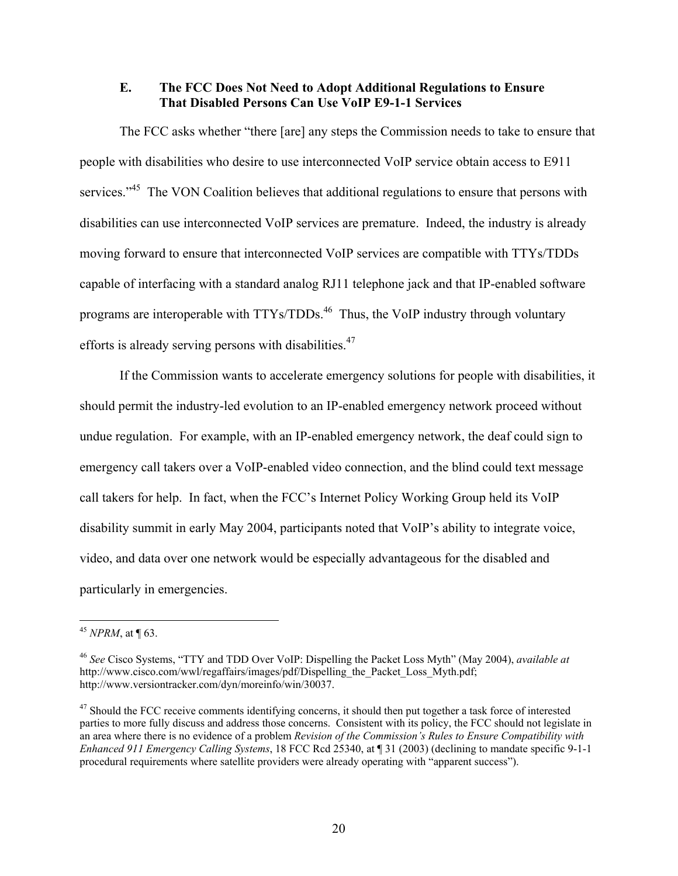#### **E. The FCC Does Not Need to Adopt Additional Regulations to Ensure That Disabled Persons Can Use VoIP E9-1-1 Services**

The FCC asks whether "there [are] any steps the Commission needs to take to ensure that people with disabilities who desire to use interconnected VoIP service obtain access to E911 services."<sup>45</sup> The VON Coalition believes that additional regulations to ensure that persons with disabilities can use interconnected VoIP services are premature. Indeed, the industry is already moving forward to ensure that interconnected VoIP services are compatible with TTYs/TDDs capable of interfacing with a standard analog RJ11 telephone jack and that IP-enabled software programs are interoperable with TTYs/TDDs.<sup>46</sup> Thus, the VoIP industry through voluntary efforts is already serving persons with disabilities.<sup>47</sup>

If the Commission wants to accelerate emergency solutions for people with disabilities, it should permit the industry-led evolution to an IP-enabled emergency network proceed without undue regulation. For example, with an IP-enabled emergency network, the deaf could sign to emergency call takers over a VoIP-enabled video connection, and the blind could text message call takers for help. In fact, when the FCC's Internet Policy Working Group held its VoIP disability summit in early May 2004, participants noted that VoIP's ability to integrate voice, video, and data over one network would be especially advantageous for the disabled and particularly in emergencies.

<sup>45</sup> *NPRM*, at ¶ 63.

<sup>46</sup> *See* Cisco Systems, "TTY and TDD Over VoIP: Dispelling the Packet Loss Myth" (May 2004), *available at*  http://www.cisco.com/wwl/regaffairs/images/pdf/Dispelling\_the\_Packet\_Loss\_Myth.pdf; http://www.versiontracker.com/dyn/moreinfo/win/30037.

 $47$  Should the FCC receive comments identifying concerns, it should then put together a task force of interested parties to more fully discuss and address those concerns. Consistent with its policy, the FCC should not legislate in an area where there is no evidence of a problem *Revision of the Commission's Rules to Ensure Compatibility with Enhanced 911 Emergency Calling Systems*, 18 FCC Rcd 25340, at ¶ 31 (2003) (declining to mandate specific 9-1-1 procedural requirements where satellite providers were already operating with "apparent success").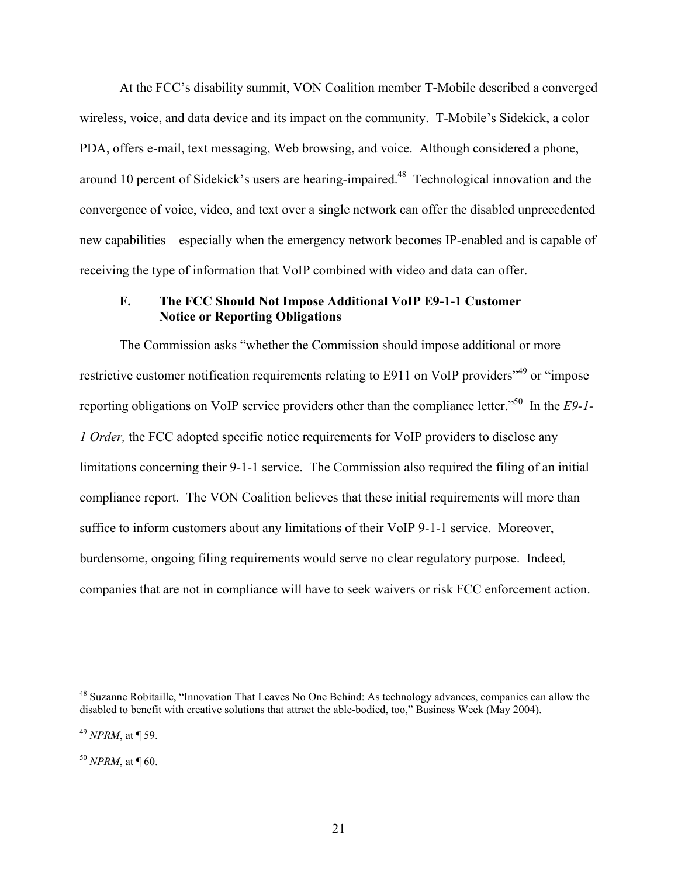At the FCC's disability summit, VON Coalition member T-Mobile described a converged wireless, voice, and data device and its impact on the community. T-Mobile's Sidekick, a color PDA, offers e-mail, text messaging, Web browsing, and voice. Although considered a phone, around 10 percent of Sidekick's users are hearing-impaired.<sup>48</sup> Technological innovation and the convergence of voice, video, and text over a single network can offer the disabled unprecedented new capabilities – especially when the emergency network becomes IP-enabled and is capable of receiving the type of information that VoIP combined with video and data can offer.

#### **F. The FCC Should Not Impose Additional VoIP E9-1-1 Customer Notice or Reporting Obligations**

The Commission asks "whether the Commission should impose additional or more restrictive customer notification requirements relating to E911 on VoIP providers<sup>149</sup> or "impose" reporting obligations on VoIP service providers other than the compliance letter."50 In the *E9-1- 1 Order,* the FCC adopted specific notice requirements for VoIP providers to disclose any limitations concerning their 9-1-1 service. The Commission also required the filing of an initial compliance report. The VON Coalition believes that these initial requirements will more than suffice to inform customers about any limitations of their VoIP 9-1-1 service. Moreover, burdensome, ongoing filing requirements would serve no clear regulatory purpose. Indeed, companies that are not in compliance will have to seek waivers or risk FCC enforcement action.

1

<sup>&</sup>lt;sup>48</sup> Suzanne Robitaille, "Innovation That Leaves No One Behind: As technology advances, companies can allow the disabled to benefit with creative solutions that attract the able-bodied, too," Business Week (May 2004).

<sup>49</sup> *NPRM*, at ¶ 59.

<sup>50</sup> *NPRM*, at ¶ 60.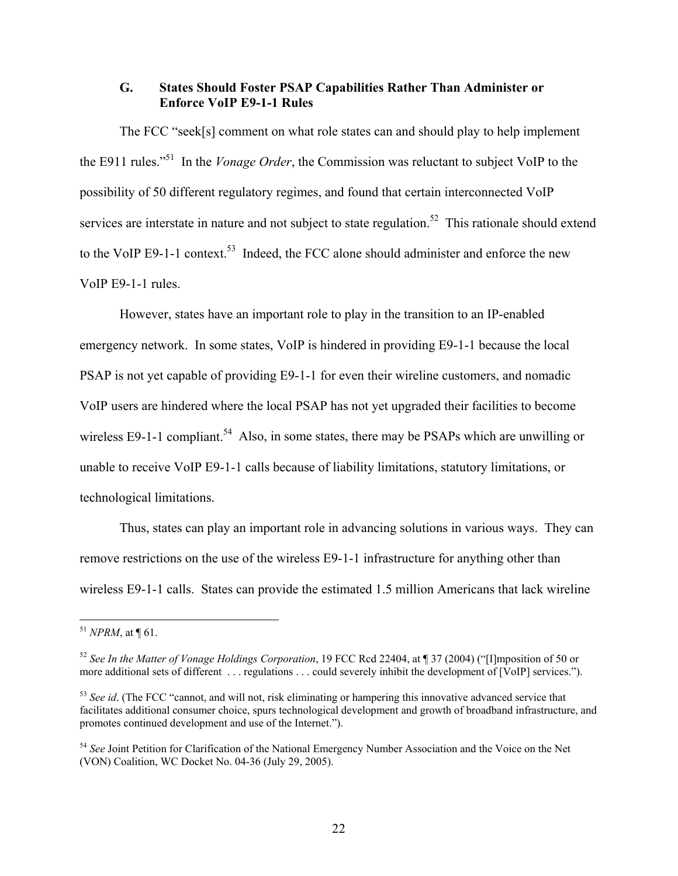#### **G. States Should Foster PSAP Capabilities Rather Than Administer or Enforce VoIP E9-1-1 Rules**

The FCC "seek[s] comment on what role states can and should play to help implement the E911 rules."51 In the *Vonage Order*, the Commission was reluctant to subject VoIP to the possibility of 50 different regulatory regimes, and found that certain interconnected VoIP services are interstate in nature and not subject to state regulation.<sup>52</sup> This rationale should extend to the VoIP E9-1-1 context.<sup>53</sup> Indeed, the FCC alone should administer and enforce the new VoIP E9-1-1 rules.

However, states have an important role to play in the transition to an IP-enabled emergency network. In some states, VoIP is hindered in providing E9-1-1 because the local PSAP is not yet capable of providing E9-1-1 for even their wireline customers, and nomadic VoIP users are hindered where the local PSAP has not yet upgraded their facilities to become wireless E9-1-1 compliant.<sup>54</sup> Also, in some states, there may be PSAPs which are unwilling or unable to receive VoIP E9-1-1 calls because of liability limitations, statutory limitations, or technological limitations.

Thus, states can play an important role in advancing solutions in various ways. They can remove restrictions on the use of the wireless E9-1-1 infrastructure for anything other than wireless E9-1-1 calls. States can provide the estimated 1.5 million Americans that lack wireline

 $^{51}$  *NPRM*, at ¶ 61.

<sup>52</sup> *See In the Matter of Vonage Holdings Corporation*, 19 FCC Rcd 22404, at ¶ 37 (2004) ("[I]mposition of 50 or more additional sets of different . . . regulations . . . could severely inhibit the development of [VoIP] services.").

<sup>&</sup>lt;sup>53</sup> See id. (The FCC "cannot, and will not, risk eliminating or hampering this innovative advanced service that facilitates additional consumer choice, spurs technological development and growth of broadband infrastructure, and promotes continued development and use of the Internet.").

<sup>54</sup> *See* Joint Petition for Clarification of the National Emergency Number Association and the Voice on the Net (VON) Coalition, WC Docket No. 04-36 (July 29, 2005).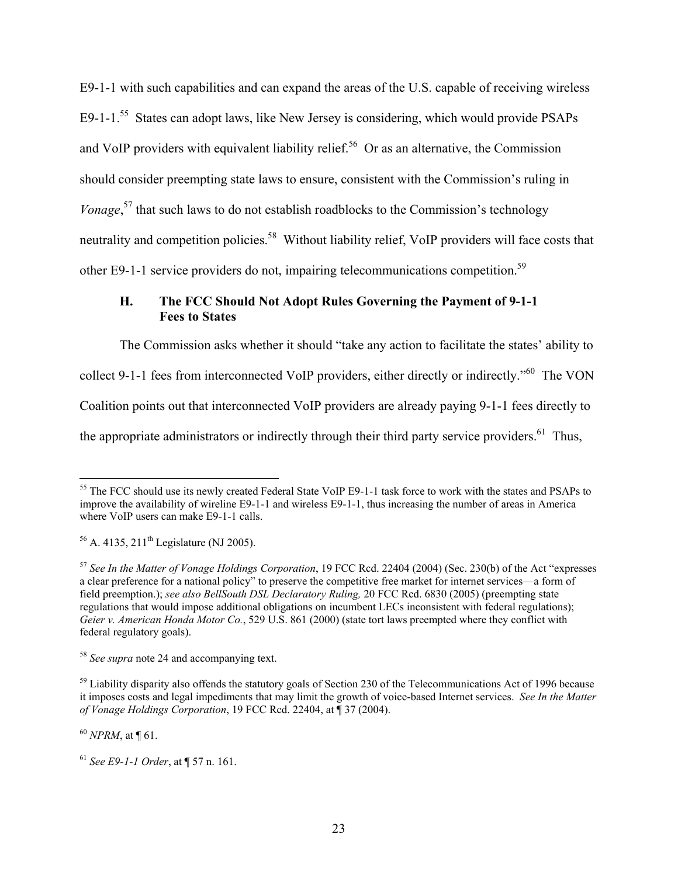E9-1-1 with such capabilities and can expand the areas of the U.S. capable of receiving wireless E9-1-1.<sup>55</sup> States can adopt laws, like New Jersey is considering, which would provide PSAPs and VoIP providers with equivalent liability relief.<sup>56</sup> Or as an alternative, the Commission should consider preempting state laws to ensure, consistent with the Commission's ruling in *Vonage*,<sup>57</sup> that such laws to do not establish roadblocks to the Commission's technology neutrality and competition policies.<sup>58</sup> Without liability relief, VoIP providers will face costs that other E9-1-1 service providers do not, impairing telecommunications competition.<sup>59</sup>

# **H. The FCC Should Not Adopt Rules Governing the Payment of 9-1-1 Fees to States**

The Commission asks whether it should "take any action to facilitate the states' ability to collect 9-1-1 fees from interconnected VoIP providers, either directly or indirectly."60 The VON Coalition points out that interconnected VoIP providers are already paying 9-1-1 fees directly to the appropriate administrators or indirectly through their third party service providers.<sup>61</sup> Thus,

<sup>60</sup> *NPRM*, at ¶ 61.

1

<sup>&</sup>lt;sup>55</sup> The FCC should use its newly created Federal State VoIP E9-1-1 task force to work with the states and PSAPs to improve the availability of wireline E9-1-1 and wireless E9-1-1, thus increasing the number of areas in America where VoIP users can make E9-1-1 calls.

 $56$  A. 4135, 211<sup>th</sup> Legislature (NJ 2005).

<sup>57</sup> *See In the Matter of Vonage Holdings Corporation*, 19 FCC Rcd. 22404 (2004) (Sec. 230(b) of the Act "expresses a clear preference for a national policy" to preserve the competitive free market for internet services—a form of field preemption.); *see also BellSouth DSL Declaratory Ruling,* 20 FCC Rcd. 6830 (2005) (preempting state regulations that would impose additional obligations on incumbent LECs inconsistent with federal regulations); *Geier v. American Honda Motor Co.*, 529 U.S. 861 (2000) (state tort laws preempted where they conflict with federal regulatory goals).

<sup>58</sup> *See supra* note 24 and accompanying text.

 $59$  Liability disparity also offends the statutory goals of Section 230 of the Telecommunications Act of 1996 because it imposes costs and legal impediments that may limit the growth of voice-based Internet services. *See In the Matter of Vonage Holdings Corporation*, 19 FCC Rcd. 22404, at ¶ 37 (2004).

<sup>61</sup> *See E9-1-1 Order*, at ¶ 57 n. 161.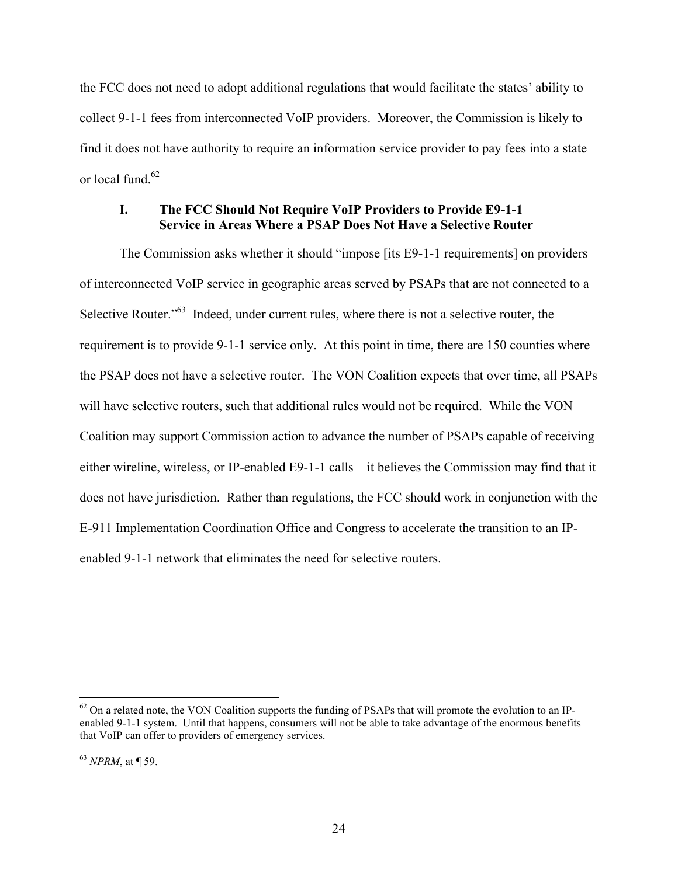the FCC does not need to adopt additional regulations that would facilitate the states' ability to collect 9-1-1 fees from interconnected VoIP providers. Moreover, the Commission is likely to find it does not have authority to require an information service provider to pay fees into a state or local fund  $62$ 

#### **I. The FCC Should Not Require VoIP Providers to Provide E9-1-1 Service in Areas Where a PSAP Does Not Have a Selective Router**

The Commission asks whether it should "impose [its E9-1-1 requirements] on providers of interconnected VoIP service in geographic areas served by PSAPs that are not connected to a Selective Router."<sup>63</sup> Indeed, under current rules, where there is not a selective router, the requirement is to provide 9-1-1 service only. At this point in time, there are 150 counties where the PSAP does not have a selective router. The VON Coalition expects that over time, all PSAPs will have selective routers, such that additional rules would not be required. While the VON Coalition may support Commission action to advance the number of PSAPs capable of receiving either wireline, wireless, or IP-enabled E9-1-1 calls – it believes the Commission may find that it does not have jurisdiction. Rather than regulations, the FCC should work in conjunction with the E-911 Implementation Coordination Office and Congress to accelerate the transition to an IPenabled 9-1-1 network that eliminates the need for selective routers.

 $62$  On a related note, the VON Coalition supports the funding of PSAPs that will promote the evolution to an IPenabled 9-1-1 system. Until that happens, consumers will not be able to take advantage of the enormous benefits that VoIP can offer to providers of emergency services.

<sup>63</sup> *NPRM*, at ¶ 59.